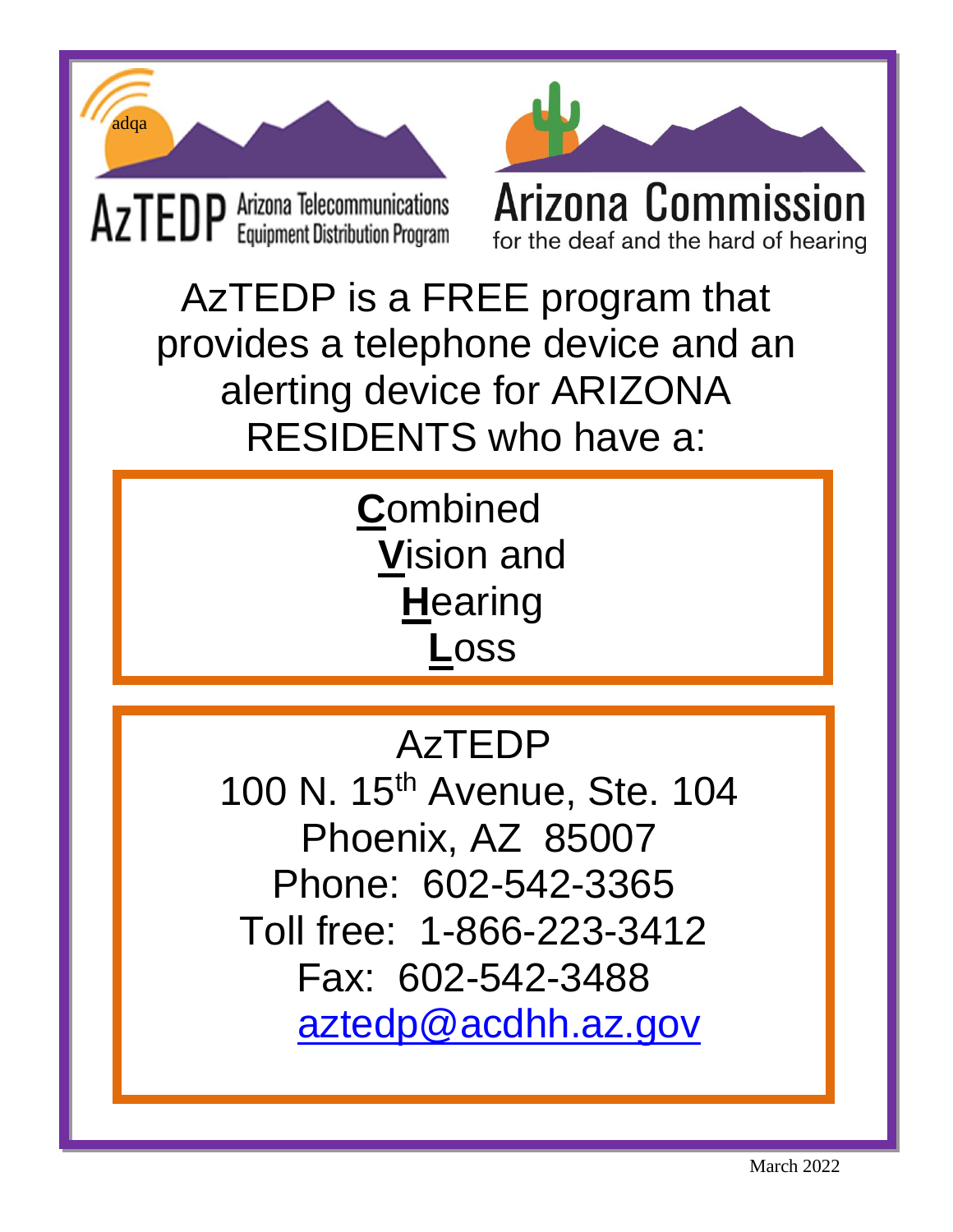



AzTEDP is a FREE program that provides a telephone device and an alerting device for ARIZONA RESIDENTS who have a:

> **C**ombined **V**ision and **H**earing **L**oss

#### AzTEDP

100 N. 15<sup>th</sup> Avenue, Ste. 104 Phoenix, AZ 85007 Phone: 602-542-3365 Toll free: 1-866-223-3412 Fax: 602-542-3488 [aztedp@acdhh.az.gov](mailto:aztedp@acdhh.az.gov)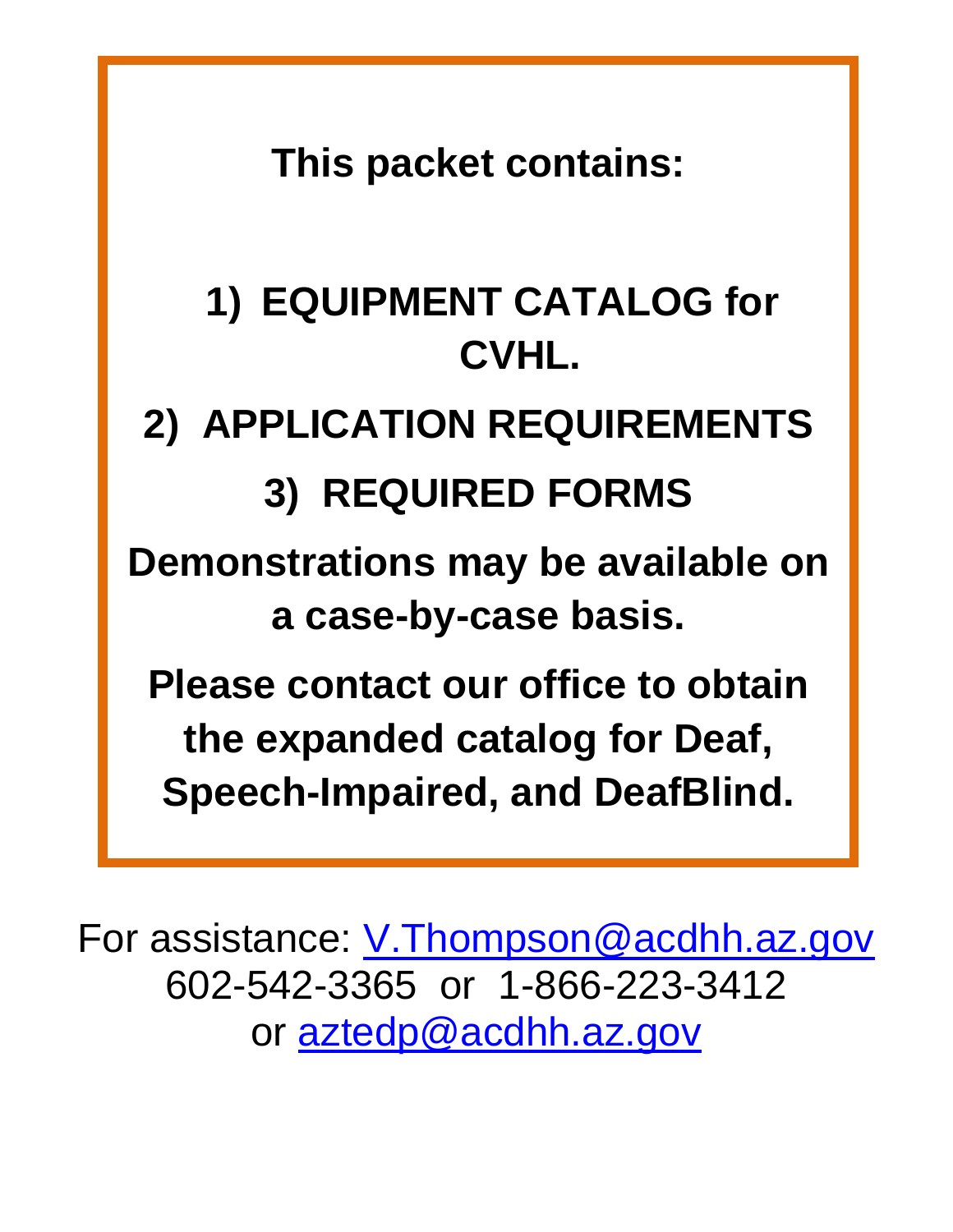**This packet contains:** 

# **1) EQUIPMENT CATALOG for CVHL.**

# **2) APPLICATION REQUIREMENTS**

# **3) REQUIRED FORMS**

**Demonstrations may be available on a case-by-case basis.**

**Please contact our office to obtain the expanded catalog for Deaf, Speech-Impaired, and DeafBlind.**

For assistance: <u>V.Thompson@acdhh.az.gov</u> 602-542-3365 or 1-866-223-3412 or [aztedp@acdhh.az.gov](mailto:aztedp@acdhh.az.gov)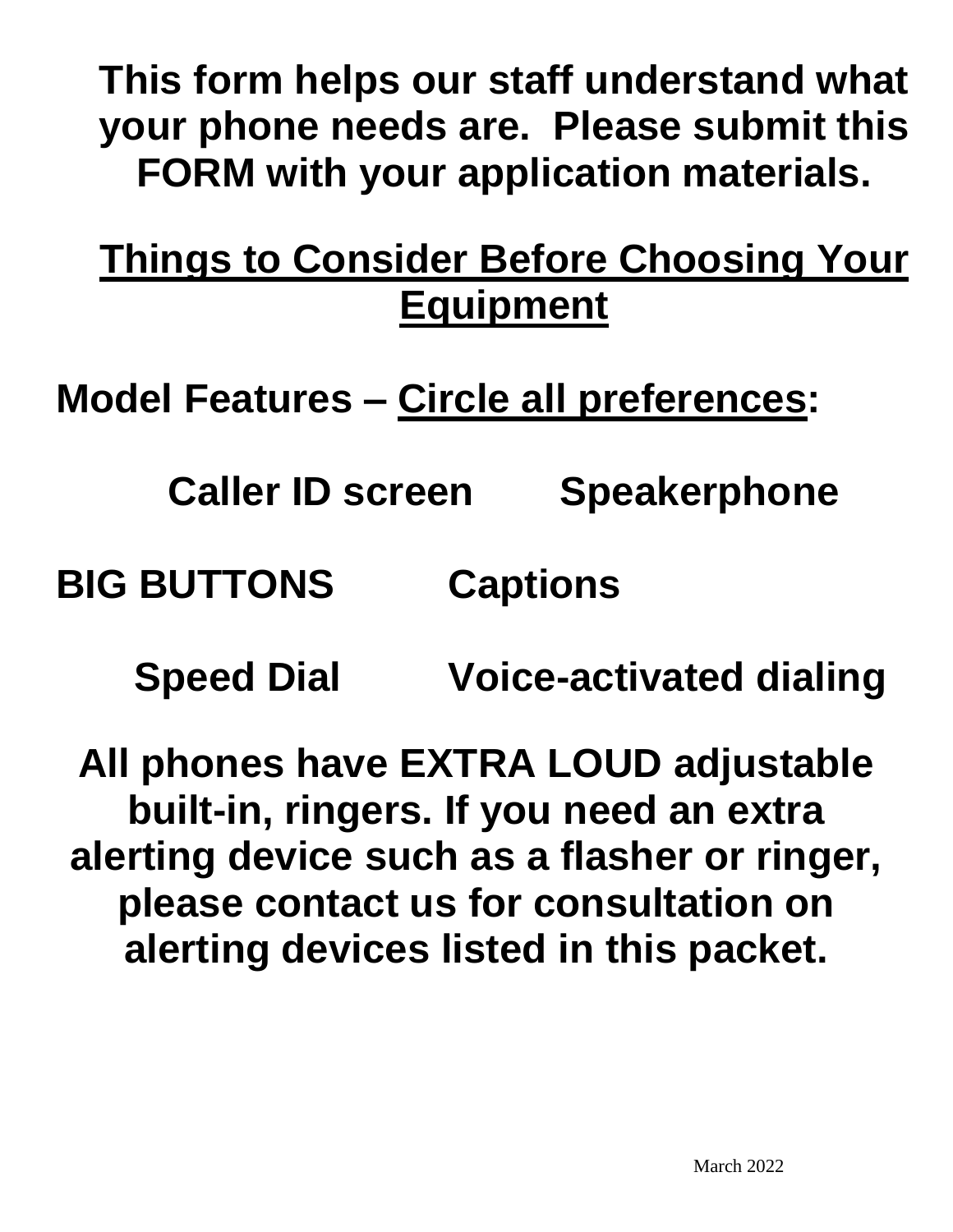**This form helps our staff understand what your phone needs are. Please submit this FORM with your application materials.**

#### **Things to Consider Before Choosing Your Equipment**

**Model Features – Circle all preferences:** 

**Caller ID screen Speakerphone**

**BIG BUTTONS Captions**

 **Speed Dial Voice-activated dialing**

**All phones have EXTRA LOUD adjustable built-in, ringers. If you need an extra alerting device such as a flasher or ringer, please contact us for consultation on alerting devices listed in this packet.**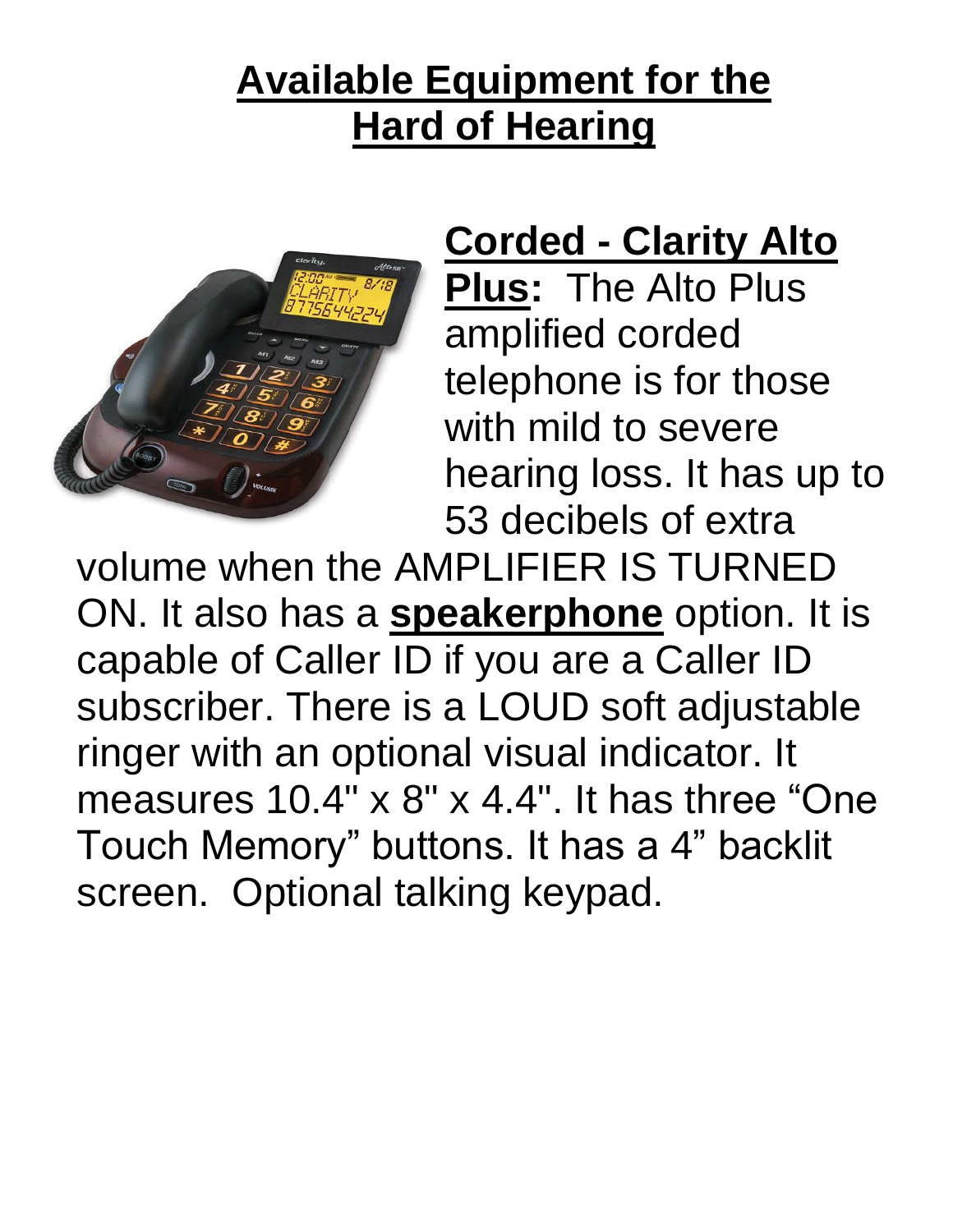# **Available Equipment for the Hard of Hearing**



#### **Corded - Clarity Alto**

**Plus:** The Alto Plus amplified corded telephone is for those with mild to severe hearing loss. It has up to 53 decibels of extra

volume when the AMPLIFIER IS TURNED ON. It also has a **speakerphone** option. It is capable of Caller ID if you are a Caller ID subscriber. There is a LOUD soft adjustable ringer with an optional visual indicator. It measures 10.4" x 8" x 4.4". It has three "One Touch Memory" buttons. It has a 4" backlit screen. Optional talking keypad.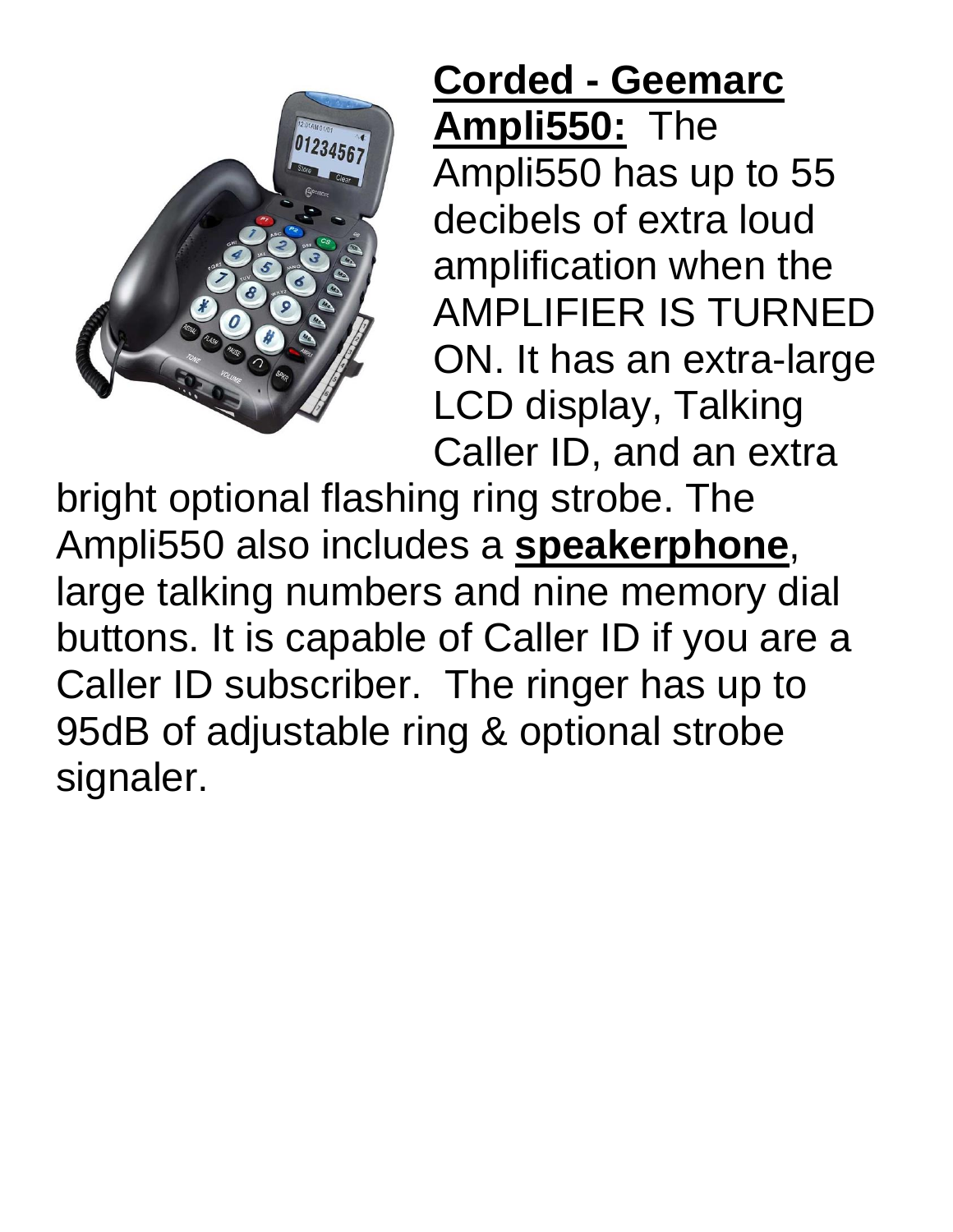

# **Corded - Geemarc Ampli550:** The Ampli550 has up to 55 decibels of extra loud amplification when the AMPLIFIER IS TURNED ON. It has an extra-large

LCD display, Talking Caller ID, and an extra

bright optional flashing ring strobe. The Ampli550 also includes a **speakerphone**, large talking numbers and nine memory dial buttons. It is capable of Caller ID if you are a Caller ID subscriber.The ringer has up to 95dB of adjustable ring & optional strobe signaler.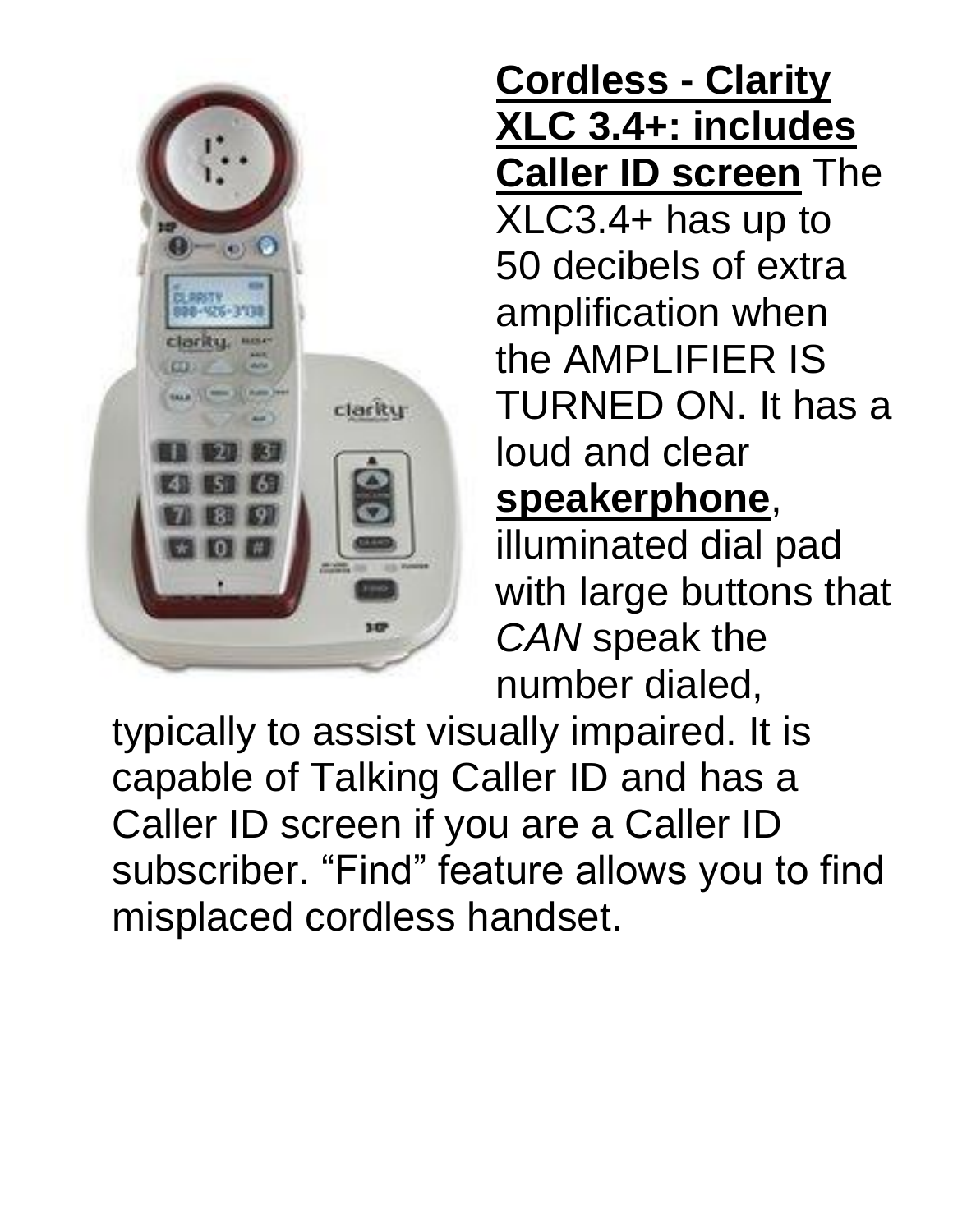

#### **Cordless - Clarity XLC 3.4+: includes Caller ID screen** The

XLC3.4+ has up to 50 decibels of extra amplification when the AMPLIFIER IS TURNED ON. It has a loud and clear **speakerphone**,

illuminated dial pad with large buttons that *CAN* speak the number dialed,

typically to assist visually impaired. It is capable of Talking Caller ID and has a Caller ID screen if you are a Caller ID subscriber. "Find" feature allows you to find misplaced cordless handset.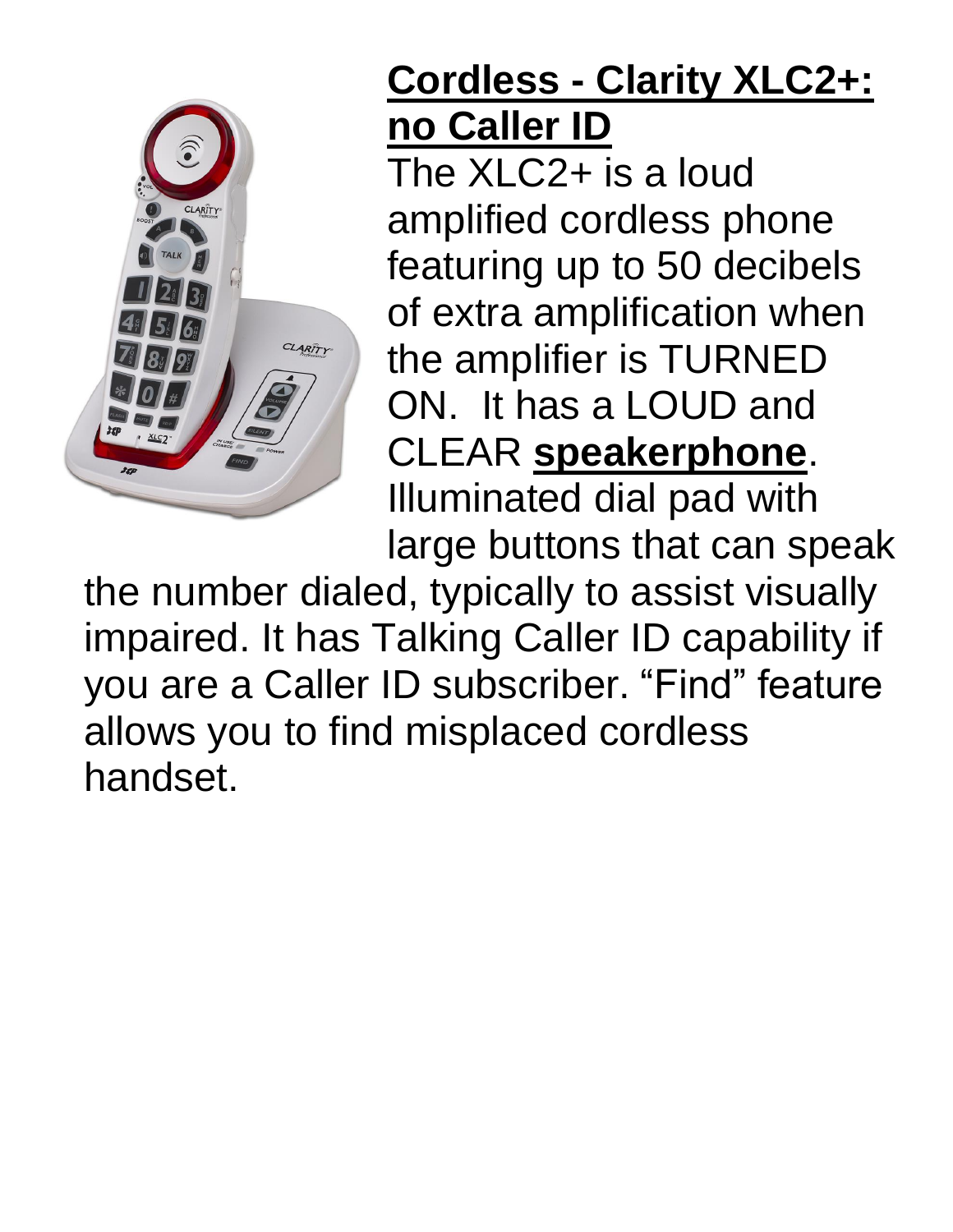

# **Cordless - Clarity XLC2+: no Caller ID**

The XLC2+ is a loud amplified cordless phone featuring up to 50 decibels of extra amplification when the amplifier is TURNED ON. It has a LOUD and CLEAR **speakerphone**. Illuminated dial pad with large buttons that can speak

the number dialed, typically to assist visually impaired. It has Talking Caller ID capability if you are a Caller ID subscriber. "Find" feature allows you to find misplaced cordless handset.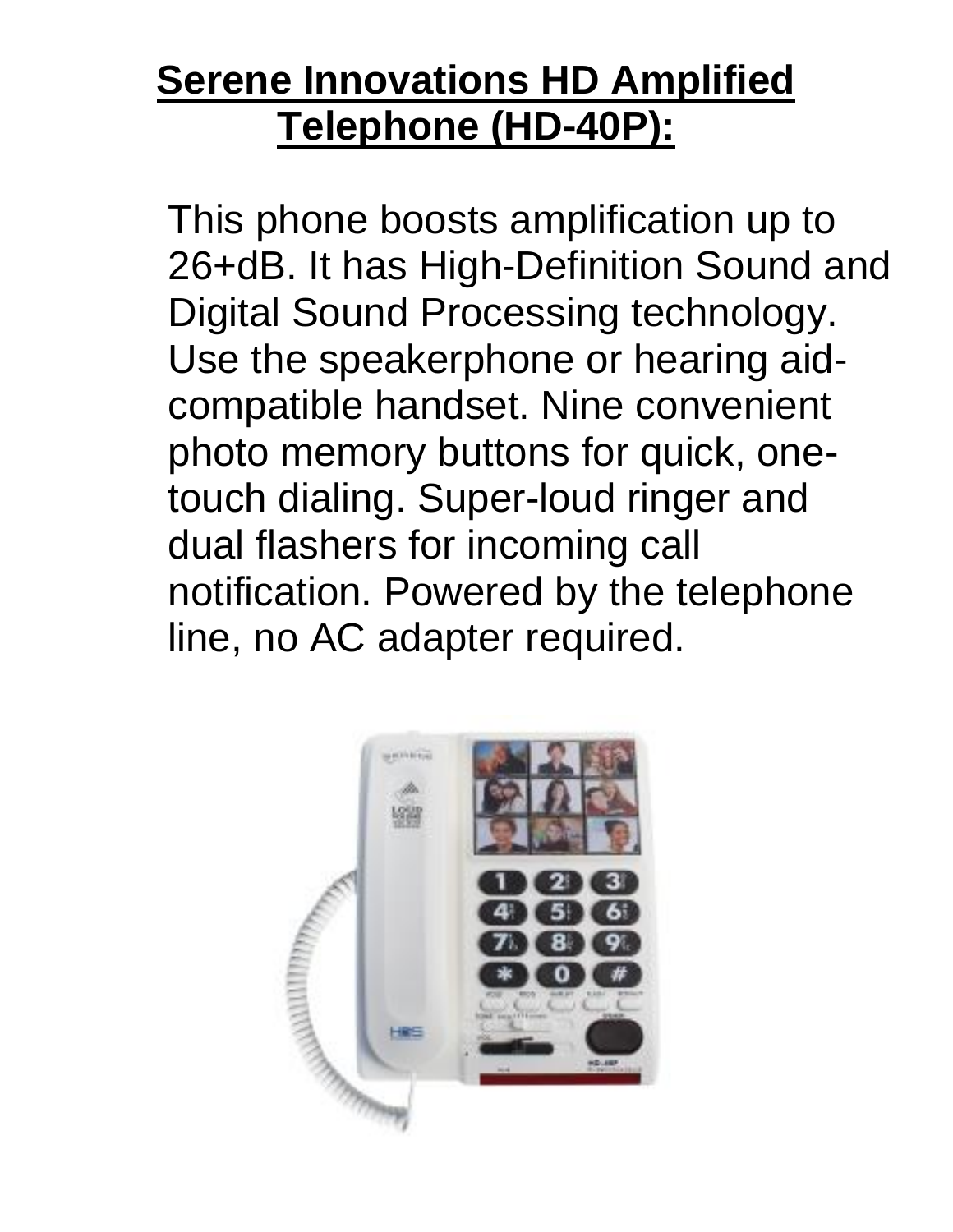# **Serene Innovations HD Amplified Telephone (HD-40P):**

This phone boosts amplification up to 26+dB. It has High-Definition Sound and Digital Sound Processing technology. Use the speakerphone or hearing aidcompatible handset. Nine convenient photo memory buttons for quick, onetouch dialing. Super-loud ringer and dual flashers for incoming call notification. Powered by the telephone line, no AC adapter required.

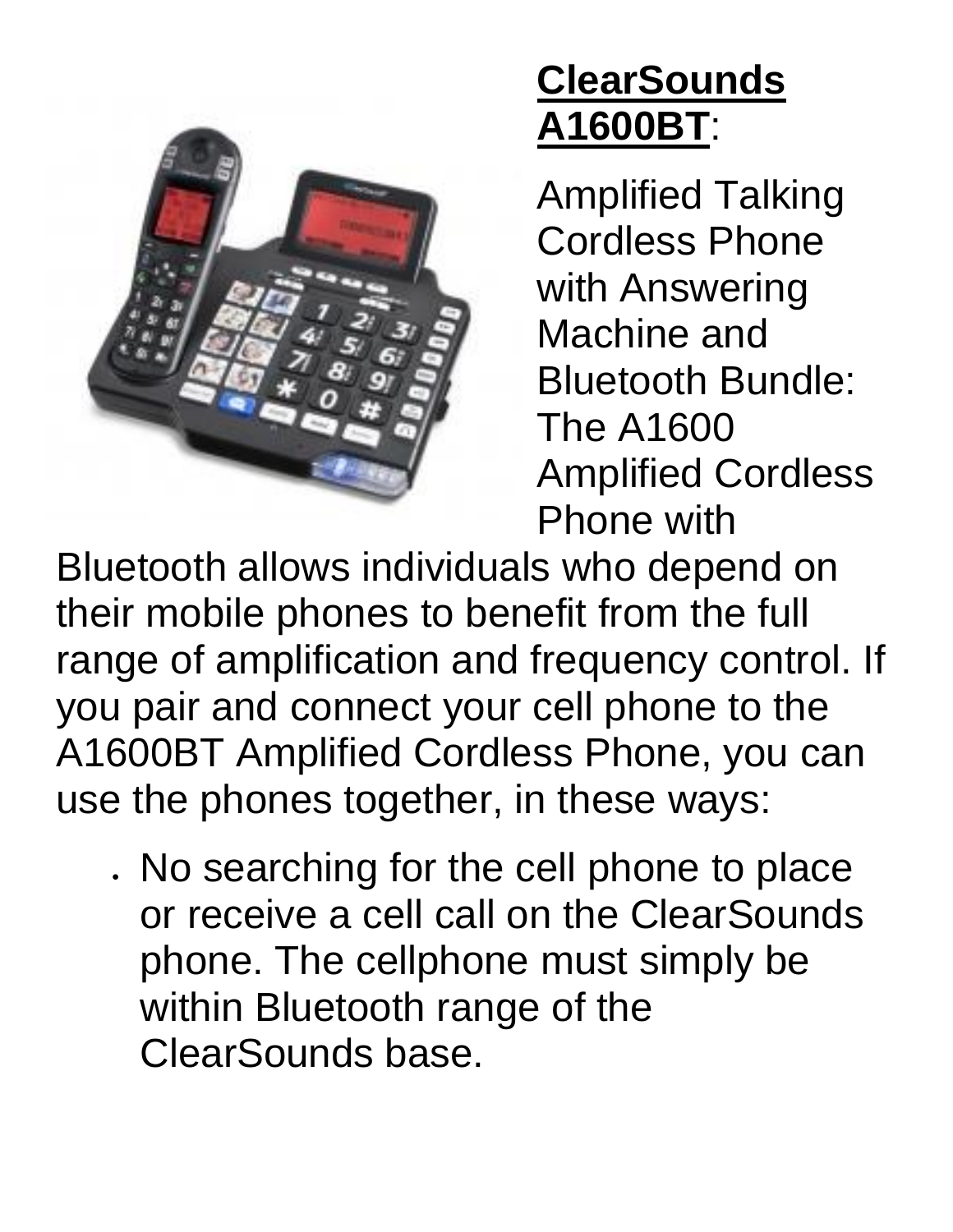

# **ClearSounds A1600BT**:

Amplified Talking Cordless Phone with Answering Machine and Bluetooth Bundle: The A1600 Amplified Cordless Phone with

Bluetooth allows individuals who depend on their mobile phones to benefit from the full range of amplification and frequency control. If you pair and connect your cell phone to the A1600BT Amplified Cordless Phone, you can use the phones together, in these ways:

• No searching for the cell phone to place or receive a cell call on the ClearSounds phone. The cellphone must simply be within Bluetooth range of the ClearSounds base.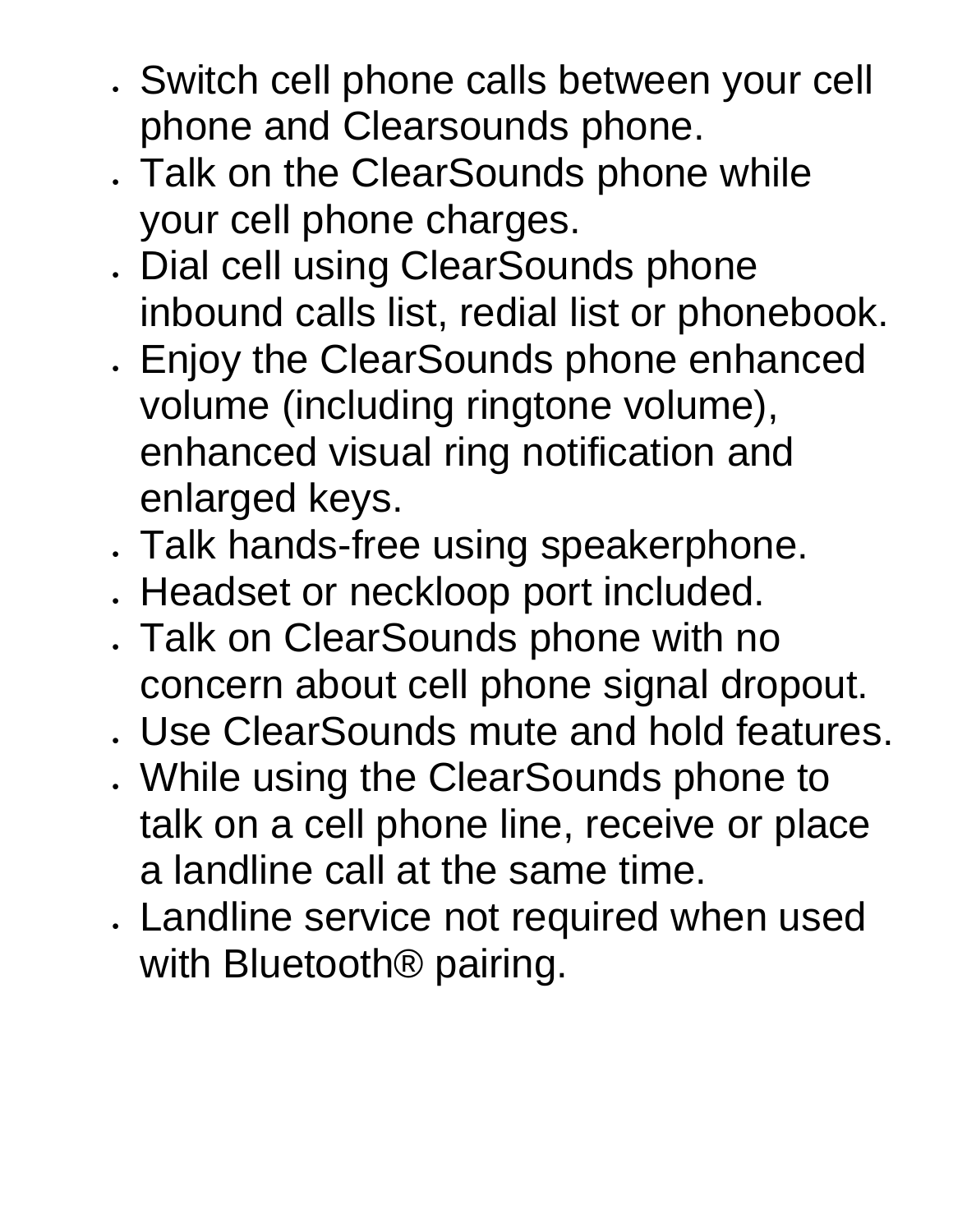- Switch cell phone calls between your cell phone and Clearsounds phone.
- Talk on the ClearSounds phone while your cell phone charges.
- Dial cell using ClearSounds phone inbound calls list, redial list or phonebook.
- Enjoy the ClearSounds phone enhanced volume (including ringtone volume), enhanced visual ring notification and enlarged keys.
- Talk hands-free using speakerphone.
- Headset or neckloop port included.
- Talk on ClearSounds phone with no concern about cell phone signal dropout.
- Use ClearSounds mute and hold features.
- While using the ClearSounds phone to talk on a cell phone line, receive or place a landline call at the same time.
- Landline service not required when used with Bluetooth<sup>®</sup> pairing.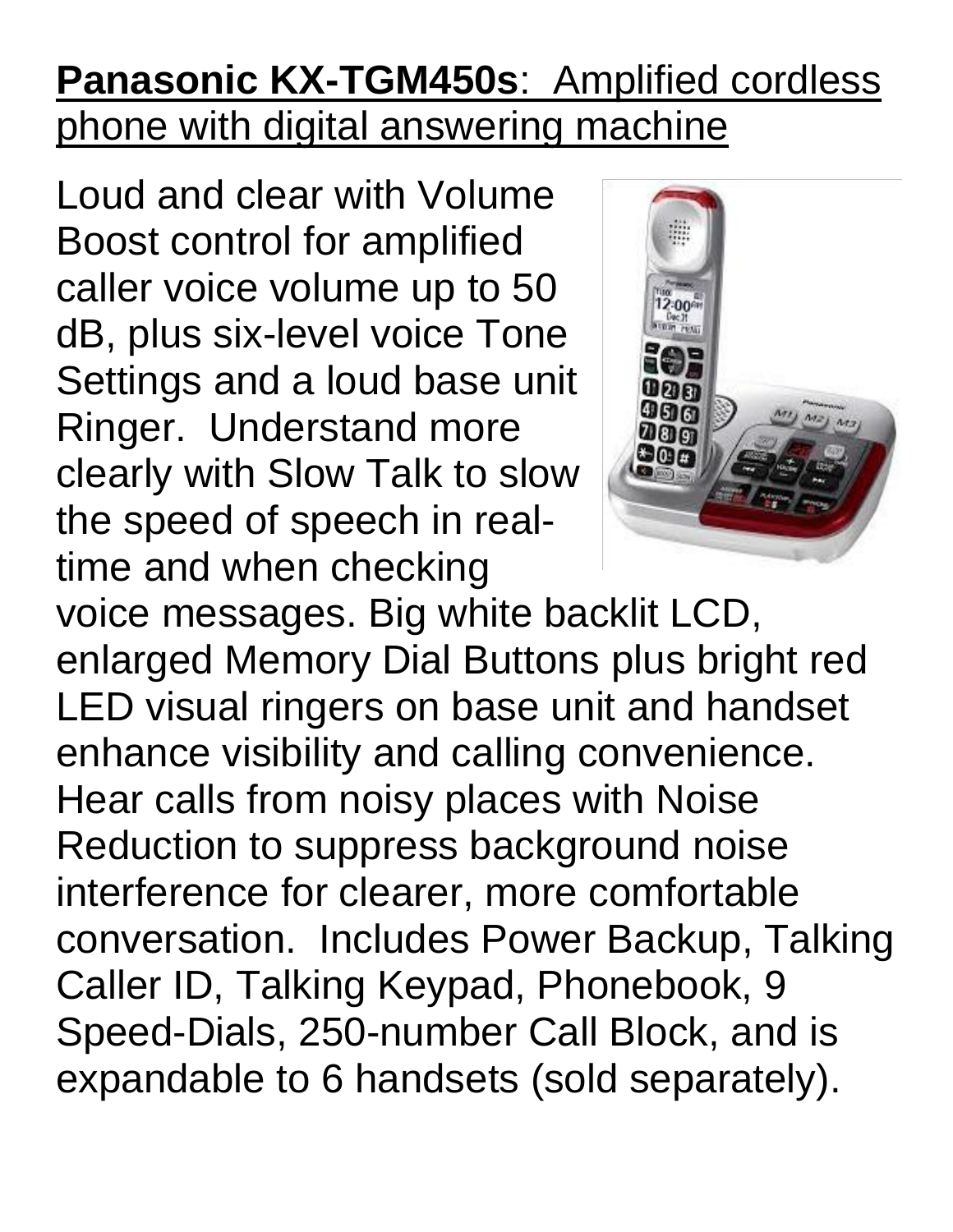# **Panasonic KX-TGM450s**: Amplified cordless phone with digital answering machine

Loud and clear with Volume Boost control for amplified caller voice volume up to 50 dB, plus six-level voice Tone Settings and a loud base unit Ringer. Understand more clearly with Slow Talk to slow the speed of speech in realtime and when checking



voice messages. Big white backlit LCD, enlarged Memory Dial Buttons plus bright red LED visual ringers on base unit and handset enhance visibility and calling convenience. Hear calls from noisy places with Noise Reduction to suppress background noise interference for clearer, more comfortable conversation. Includes Power Backup, Talking Caller ID, Talking Keypad, Phonebook, 9 Speed-Dials, 250-number Call Block, and is expandable to 6 handsets (sold separately).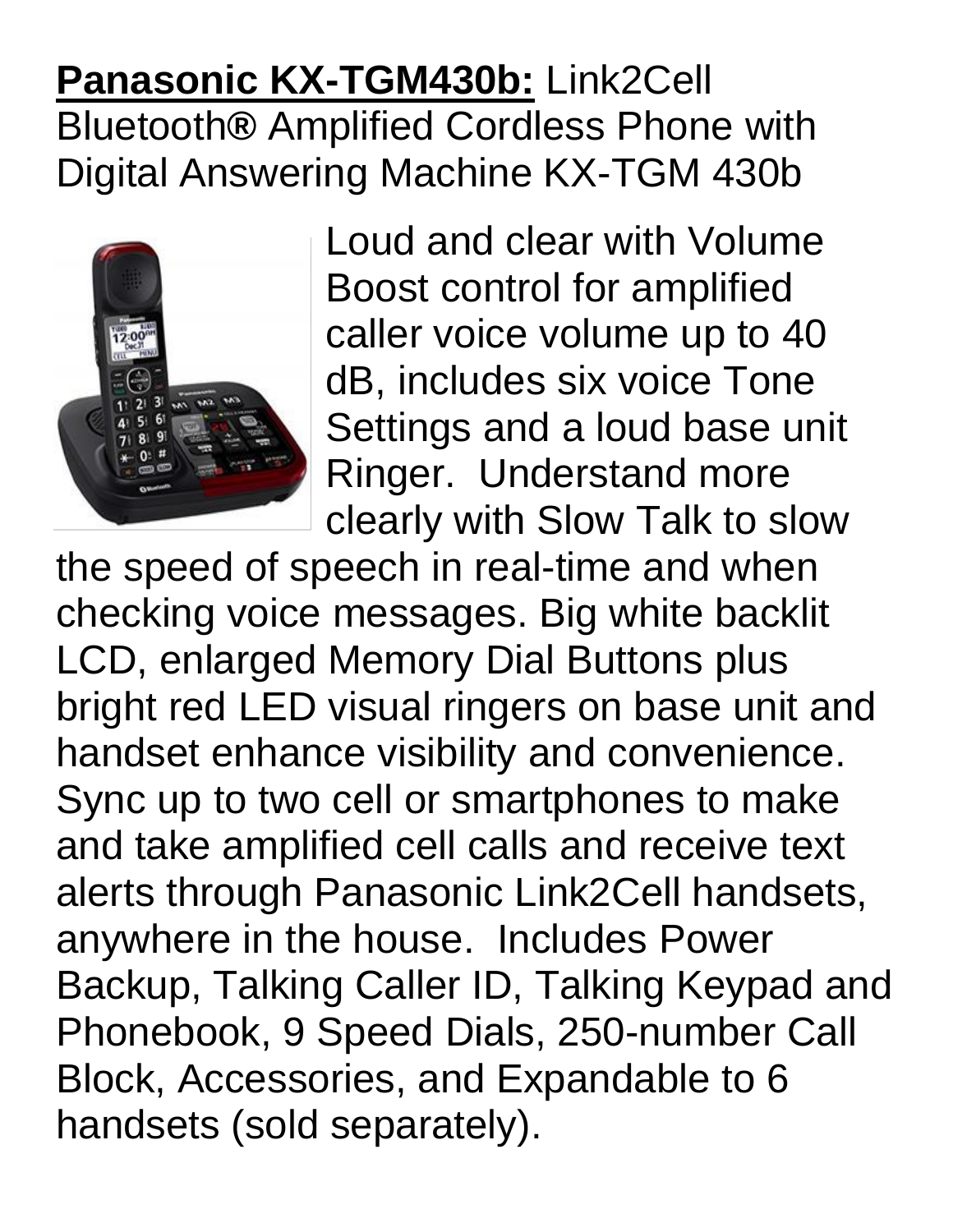#### **Panasonic KX-TGM430b:** Link2Cell Bluetooth**®** Amplified Cordless Phone with Digital Answering Machine KX-TGM 430b



Loud and clear with Volume Boost control for amplified caller voice volume up to 40 dB, includes six voice Tone Settings and a loud base unit Ringer. Understand more clearly with Slow Talk to slow

the speed of speech in real-time and when checking voice messages. Big white backlit LCD, enlarged Memory Dial Buttons plus bright red LED visual ringers on base unit and handset enhance visibility and convenience. Sync up to two cell or smartphones to make and take amplified cell calls and receive text alerts through Panasonic Link2Cell handsets, anywhere in the house. Includes Power Backup, Talking Caller ID, Talking Keypad and Phonebook, 9 Speed Dials, 250-number Call Block, Accessories, and Expandable to 6 handsets (sold separately).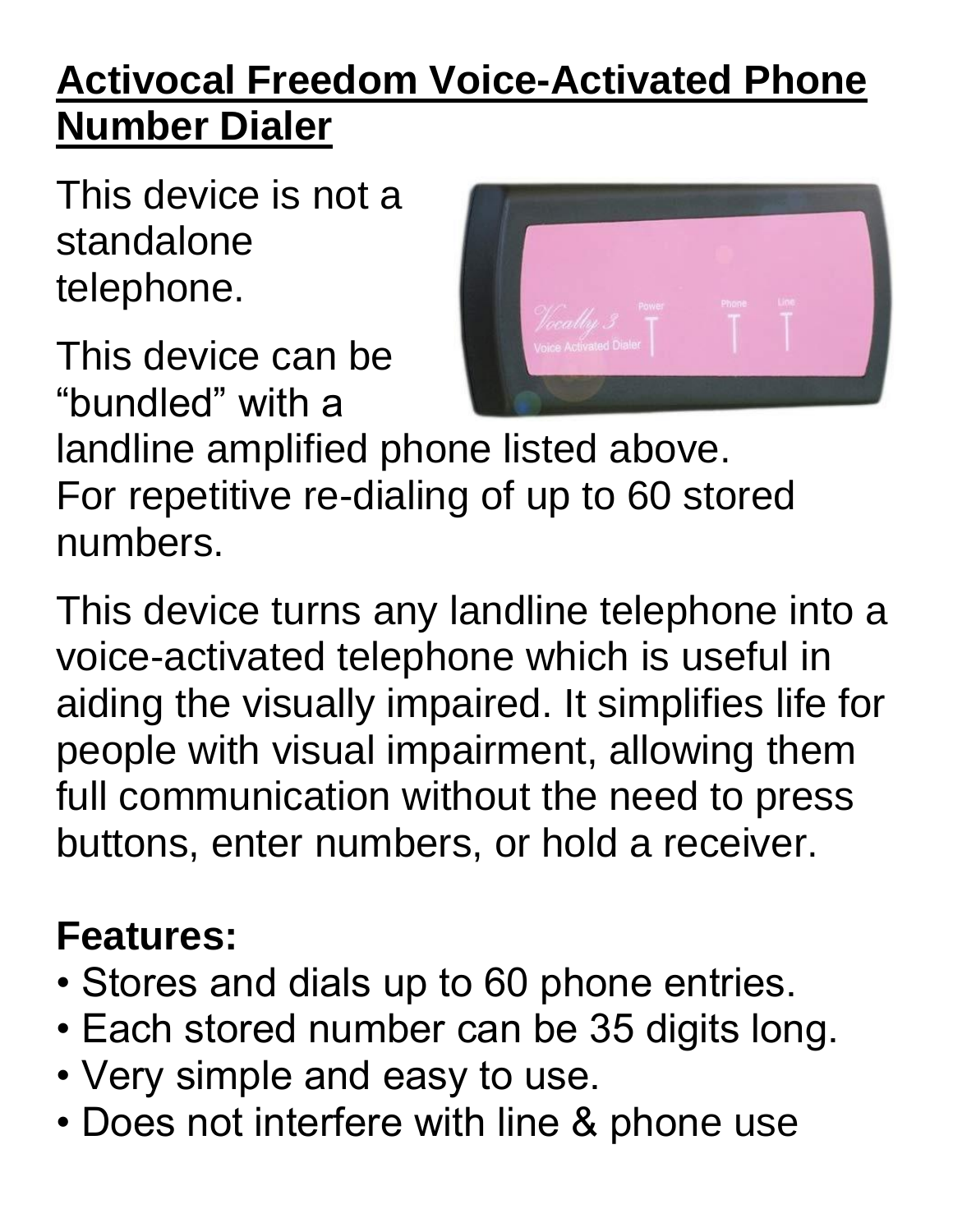# **Activocal Freedom Voice-Activated Phone Number Dialer**

This device is not a standalone telephone.

This device can be "bundled" with a



landline amplified phone listed above. For repetitive re-dialing of up to 60 stored numbers.

This device turns any landline telephone into a voice-activated telephone which is useful in aiding the visually impaired. It simplifies life for people with visual impairment, allowing them full communication without the need to press buttons, enter numbers, or hold a receiver.

#### **Features:**

- Stores and dials up to 60 phone entries.
- Each stored number can be 35 digits long.
- Very simple and easy to use.
- Does not interfere with line & phone use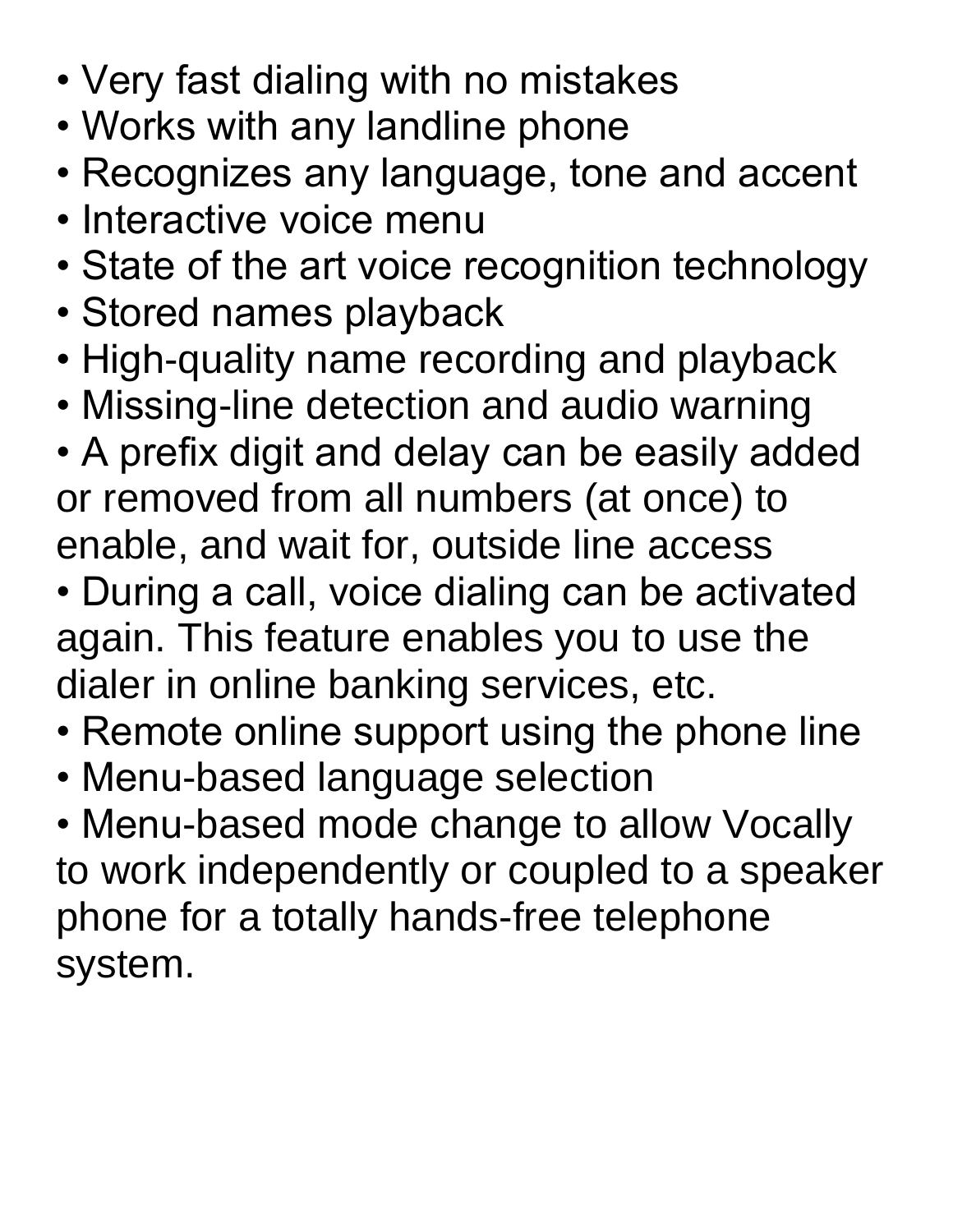- Very fast dialing with no mistakes
- Works with any landline phone
- Recognizes any language, tone and accent
- Interactive voice menu
- State of the art voice recognition technology
- Stored names playback
- High-quality name recording and playback
- Missing-line detection and audio warning
- A prefix digit and delay can be easily added or removed from all numbers (at once) to enable, and wait for, outside line access
- During a call, voice dialing can be activated again. This feature enables you to use the dialer in online banking services, etc.
- Remote online support using the phone line
- Menu-based language selection

• Menu-based mode change to allow Vocally to work independently or coupled to a speaker phone for a totally hands-free telephone system.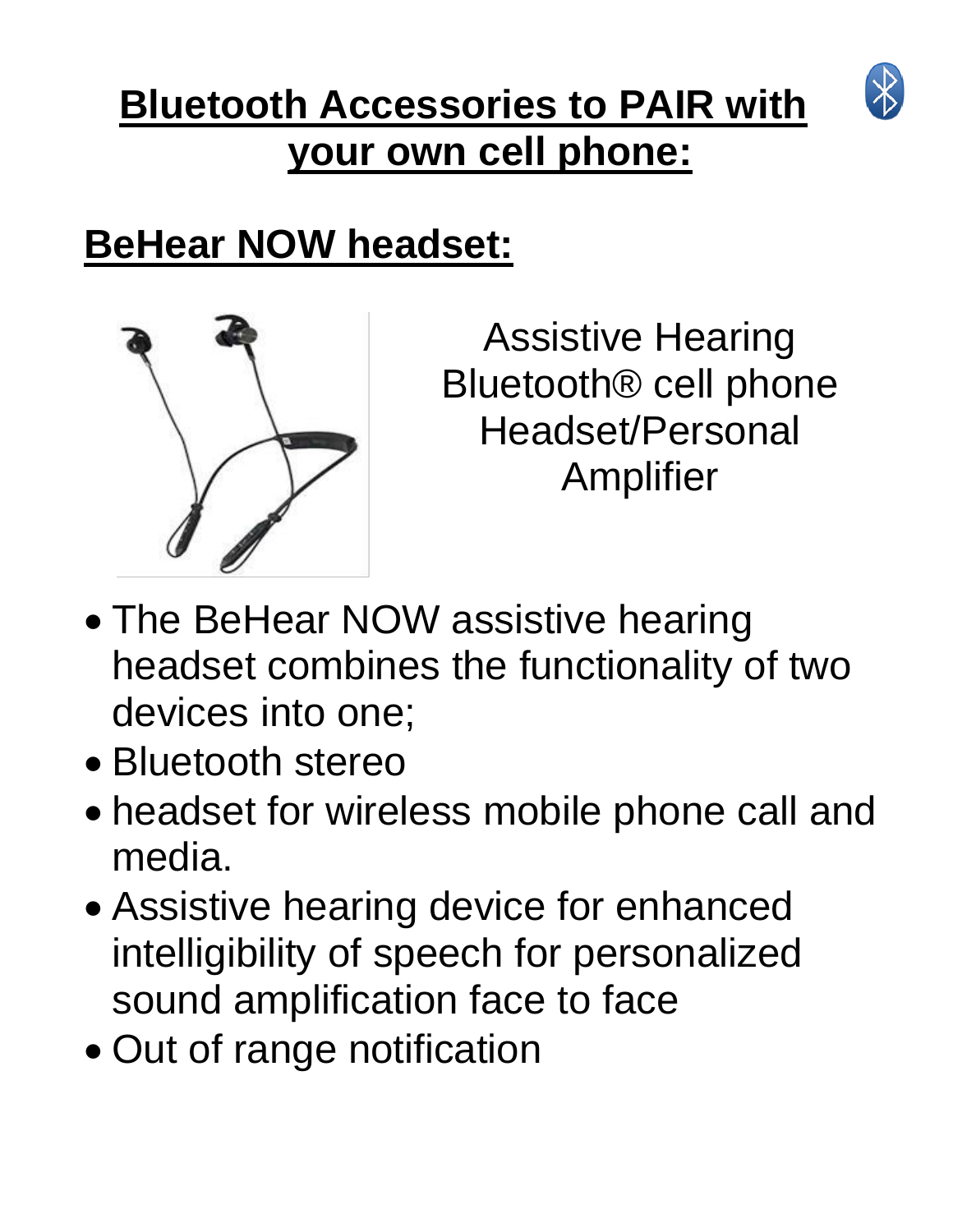# **Bluetooth Accessories to PAIR with your own cell phone:**



### **BeHear NOW headset:**



Assistive Hearing Bluetooth® cell phone Headset/Personal Amplifier

- The BeHear NOW assistive hearing headset combines the functionality of two devices into one;
- Bluetooth stereo
- headset for wireless mobile phone call and media.
- Assistive hearing device for enhanced intelligibility of speech for personalized sound amplification face to face
- Out of range notification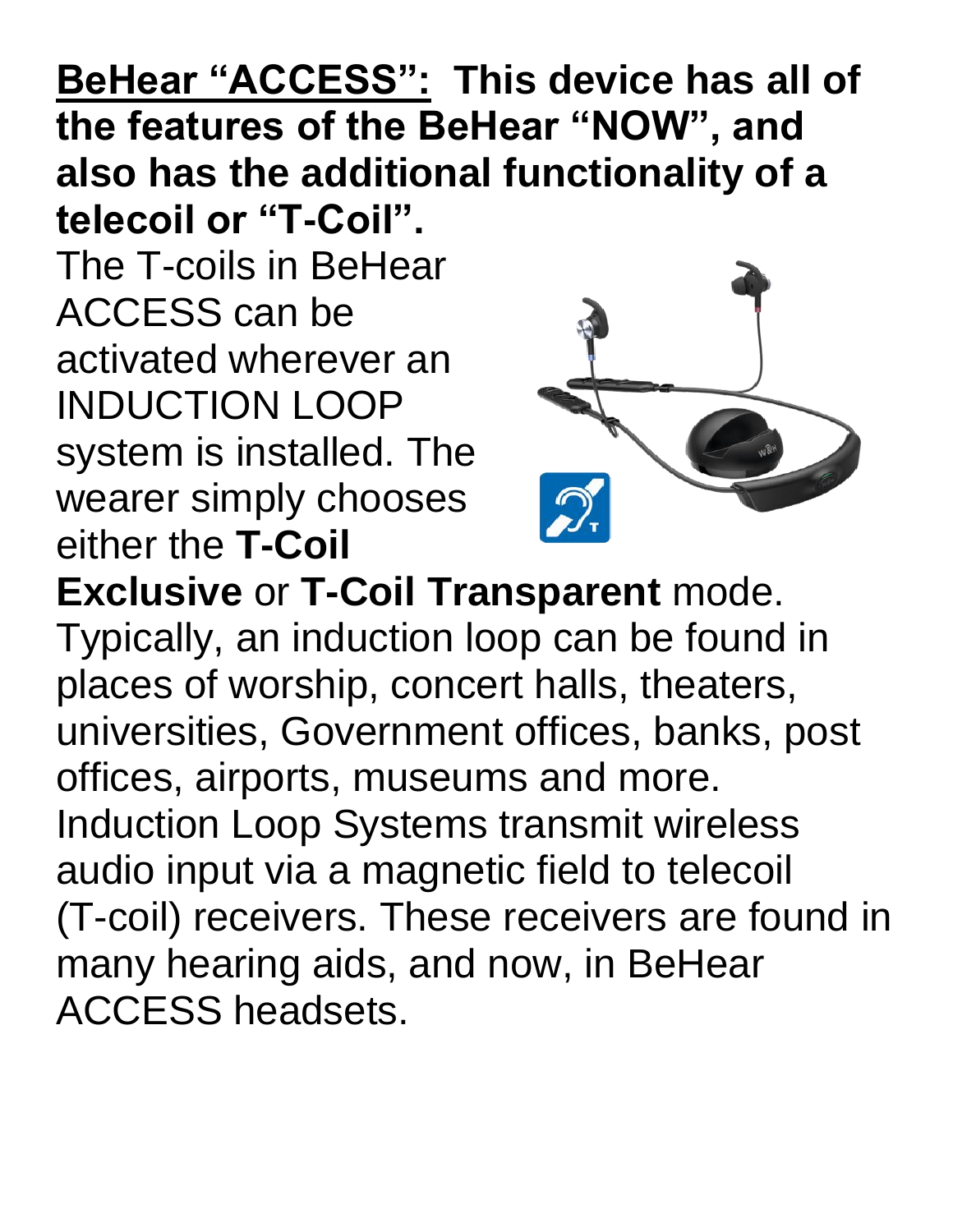#### **BeHear "ACCESS": This device has all of the features of the BeHear "NOW", and also has the additional functionality of a telecoil or "T-Coil".**

The T-coils in BeHear ACCESS can be activated wherever an INDUCTION LOOP system is installed. The wearer simply chooses either the **T-Coil** 



**Exclusive** or **T-Coil Transparent** mode. Typically, an induction loop can be found in places of worship, concert halls, theaters, universities, Government offices, banks, post offices, airports, museums and more. Induction Loop Systems transmit wireless audio input via a magnetic field to telecoil (T-coil) receivers. These receivers are found in many hearing aids, and now, in BeHear ACCESS headsets.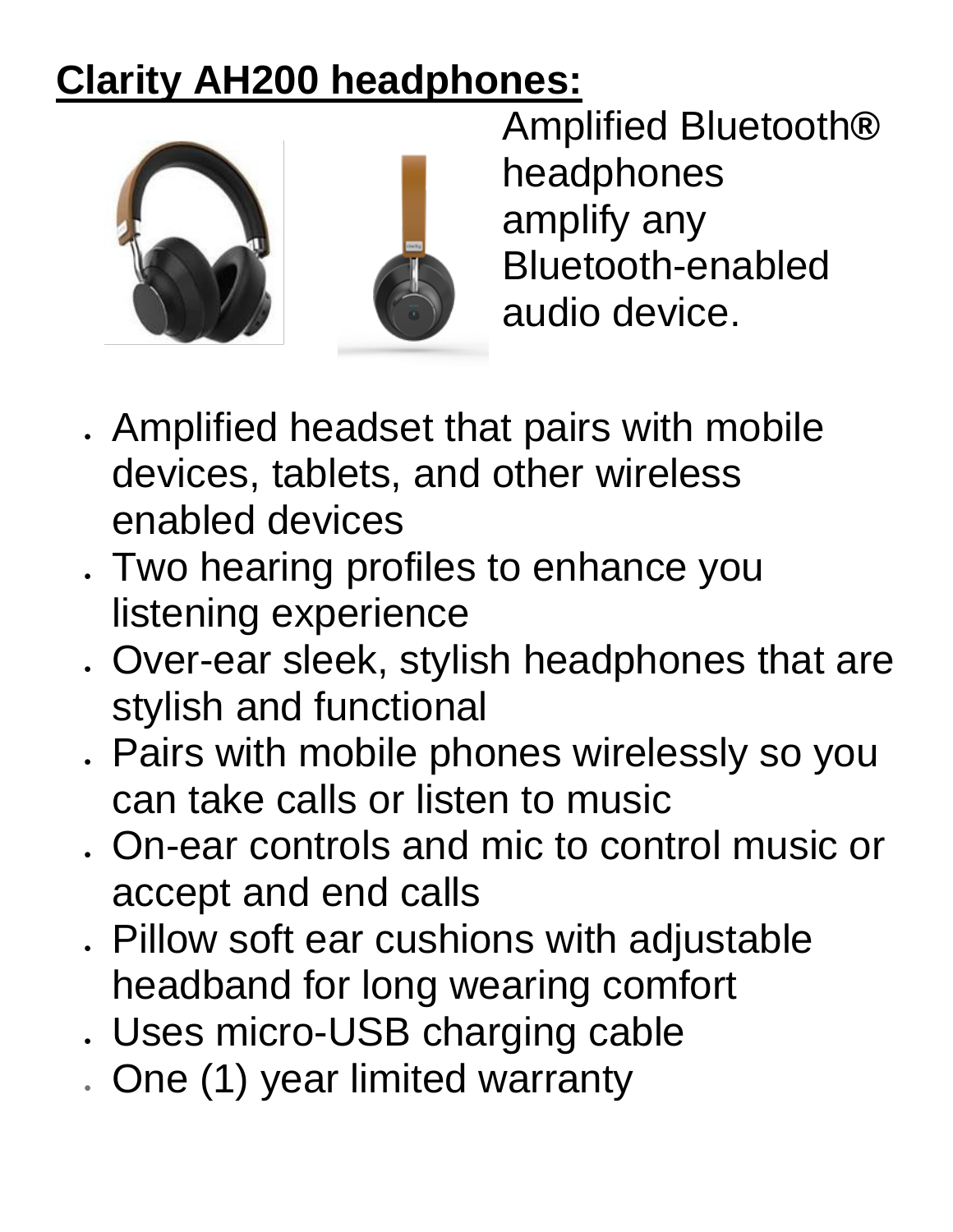# **Clarity AH200 headphones:**



Amplified Bluetooth**®** headphones amplify any Bluetooth-enabled audio device.

- Amplified headset that pairs with mobile devices, tablets, and other wireless enabled devices
- Two hearing profiles to enhance you listening experience
- Over-ear sleek, stylish headphones that are stylish and functional
- Pairs with mobile phones wirelessly so you can take calls or listen to music
- On-ear controls and mic to control music or accept and end calls
- Pillow soft ear cushions with adjustable headband for long wearing comfort
- Uses micro-USB charging cable
- One (1) year limited warranty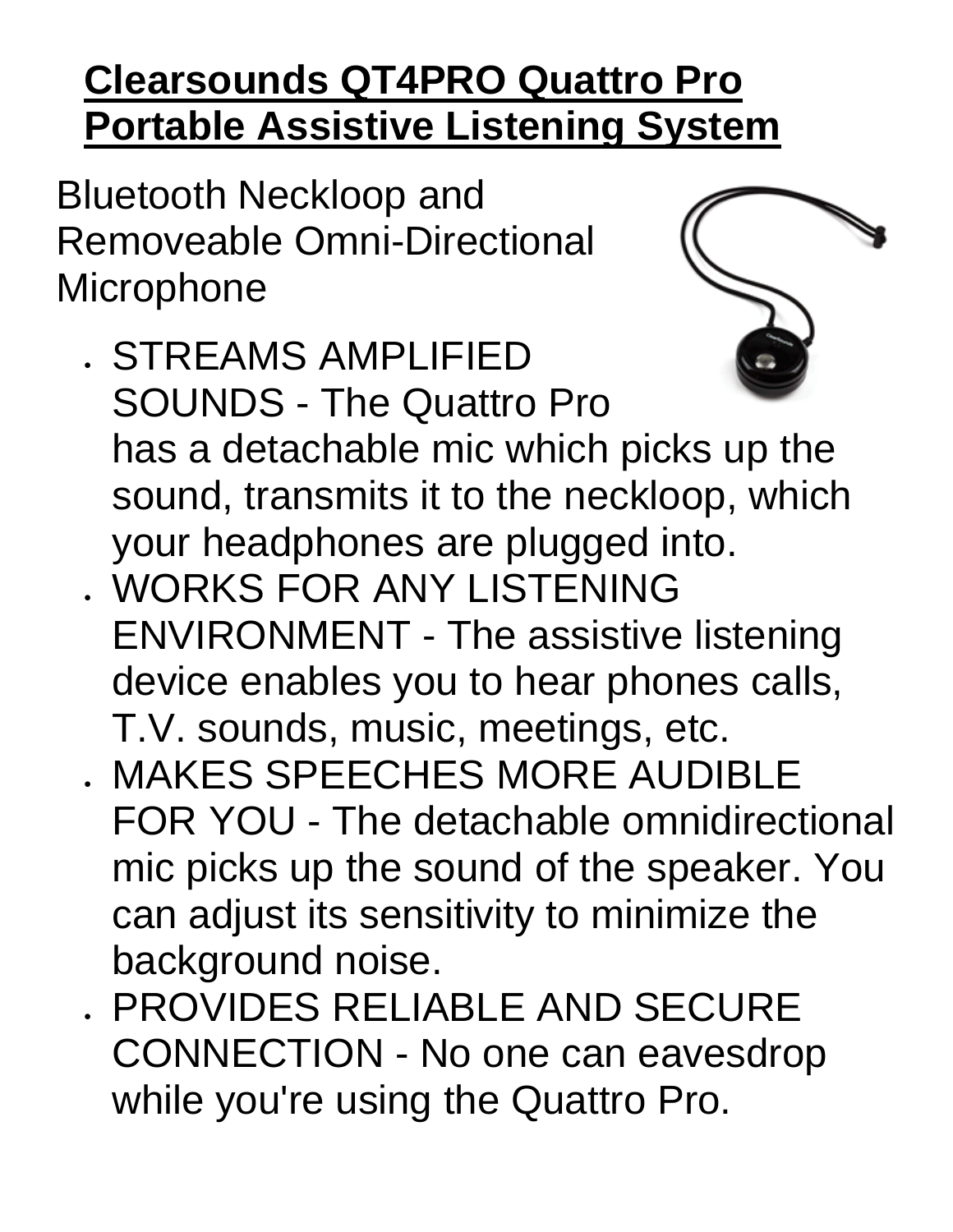# **Clearsounds QT4PRO Quattro Pro Portable Assistive Listening System**

Bluetooth Neckloop and Removeable Omni-Directional **Microphone** 



- STREAMS AMPLIFIED SOUNDS - The Quattro Pro has a detachable mic which picks up the sound, transmits it to the neckloop, which your headphones are plugged into.
- WORKS FOR ANY LISTENING ENVIRONMENT - The assistive listening device enables you to hear phones calls, T.V. sounds, music, meetings, etc.
- MAKES SPEECHES MORE AUDIBLE FOR YOU - The detachable omnidirectional mic picks up the sound of the speaker. You can adjust its sensitivity to minimize the background noise.
- PROVIDES RELIABLE AND SECURE CONNECTION - No one can eavesdrop while you're using the Quattro Pro.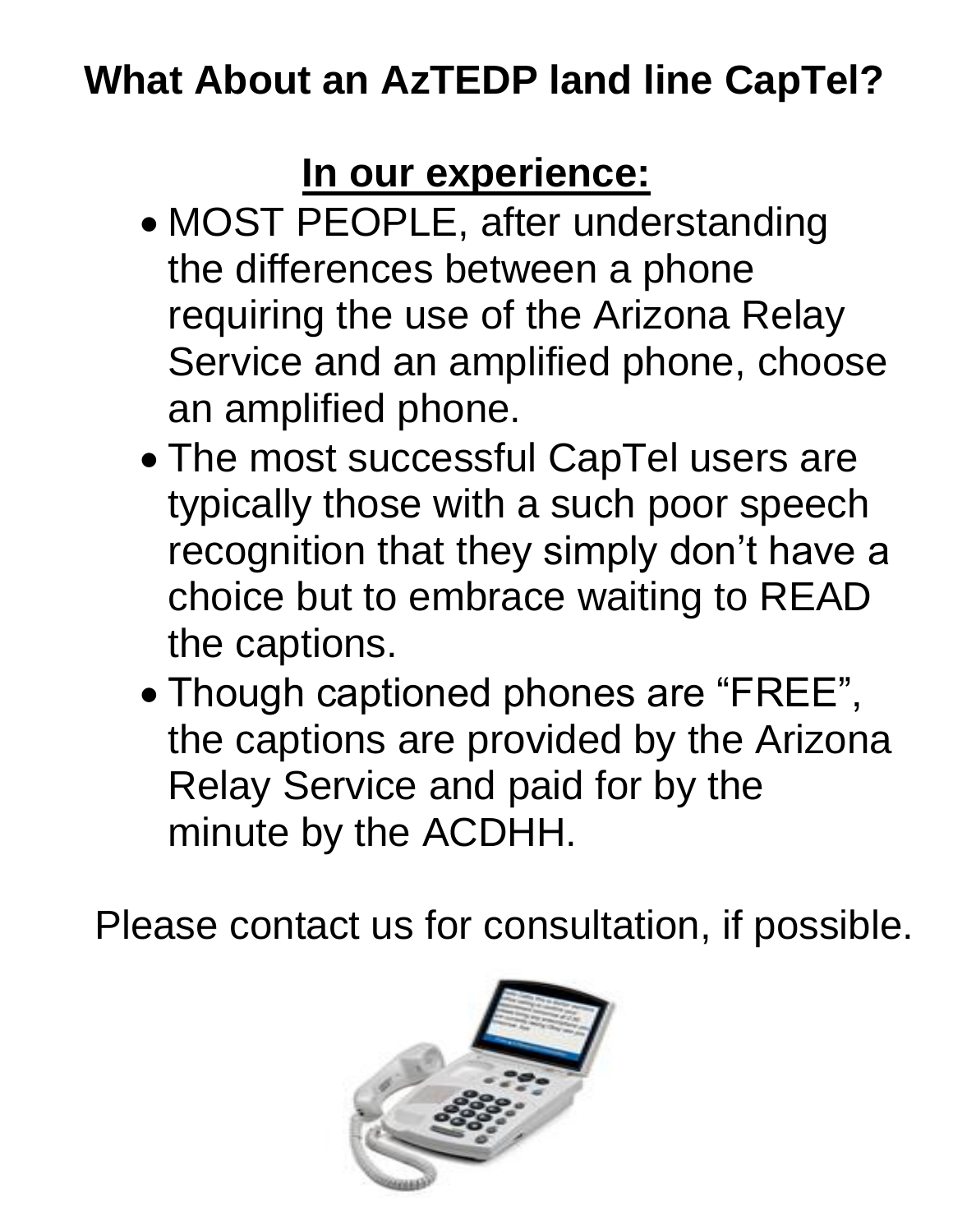# **What About an AzTEDP land line CapTel?**

# **In our experience:**

- MOST PEOPLE, after understanding the differences between a phone requiring the use of the Arizona Relay Service and an amplified phone, choose an amplified phone.
- The most successful CapTel users are typically those with a such poor speech recognition that they simply don't have a choice but to embrace waiting to READ the captions.
- Though captioned phones are "FREE", the captions are provided by the Arizona Relay Service and paid for by the minute by the ACDHH.

Please contact us for consultation, if possible.

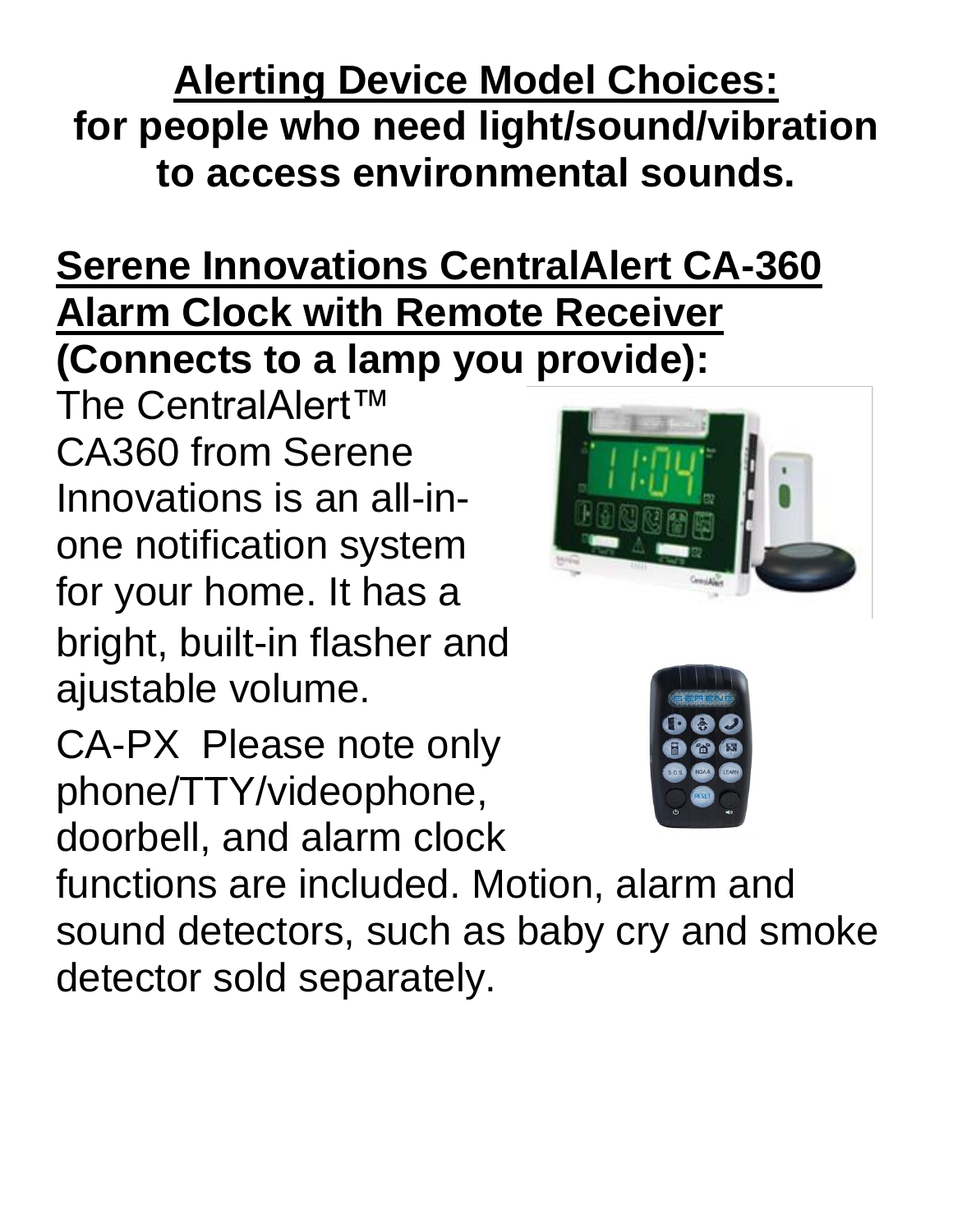#### **Alerting Device Model Choices: for people who need light/sound/vibration to access environmental sounds.**

#### **Serene Innovations CentralAlert CA-360 Alarm Clock with Remote Receiver (Connects to a lamp you provide):**

The CentralAlert™ CA360 from Serene Innovations is an all-inone notification system for your home. It has a bright, built-in flasher and ajustable volume.

CA-PX Please note only phone/TTY/videophone, doorbell, and alarm clock



functions are included. Motion, alarm and sound detectors, such as baby cry and smoke detector sold separately.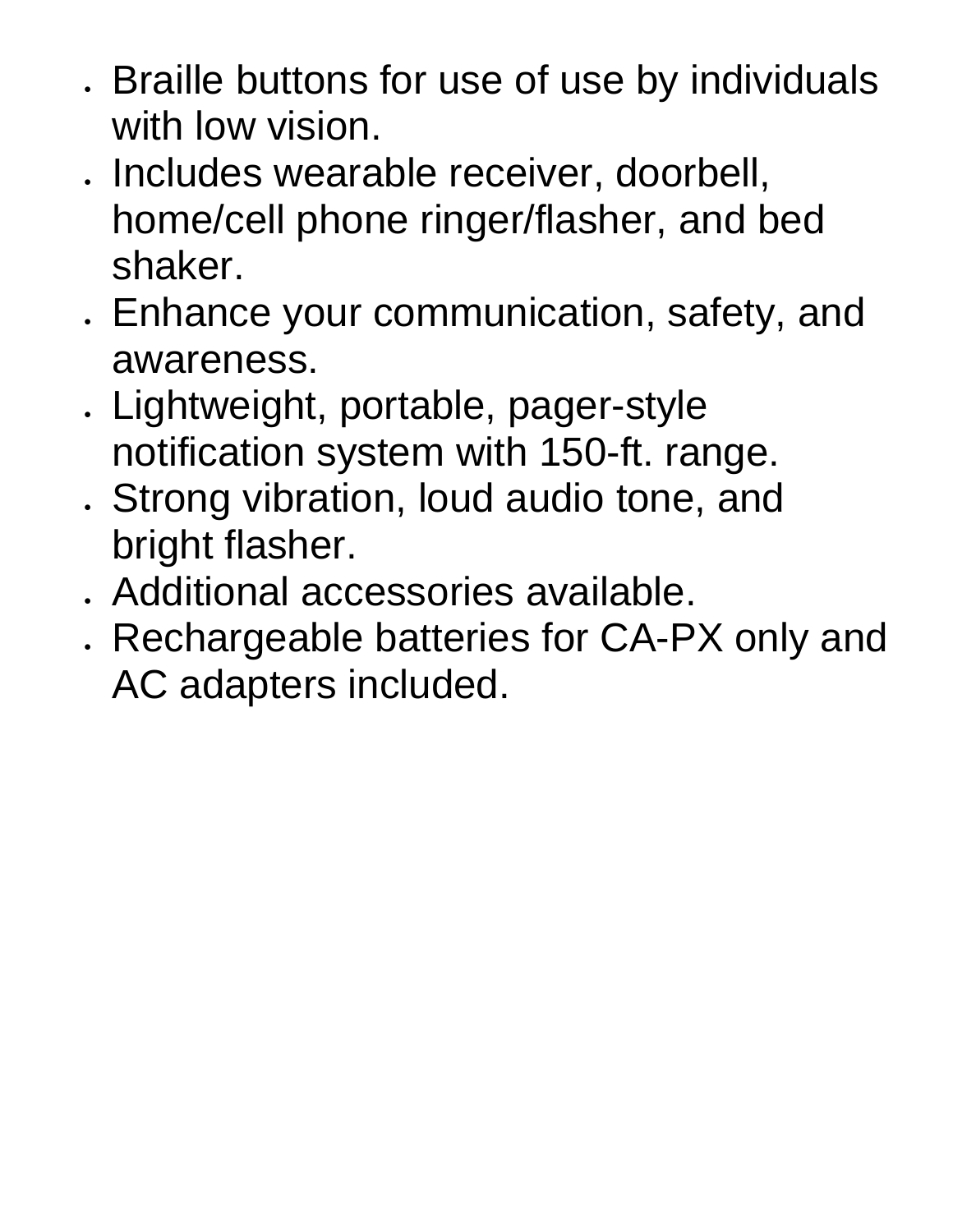- Braille buttons for use of use by individuals with low vision.
- Includes wearable receiver, doorbell, home/cell phone ringer/flasher, and bed shaker.
- Enhance your communication, safety, and awareness.
- Lightweight, portable, pager-style notification system with 150-ft. range.
- Strong vibration, loud audio tone, and bright flasher.
- Additional accessories available.
- Rechargeable batteries for CA-PX only and AC adapters included.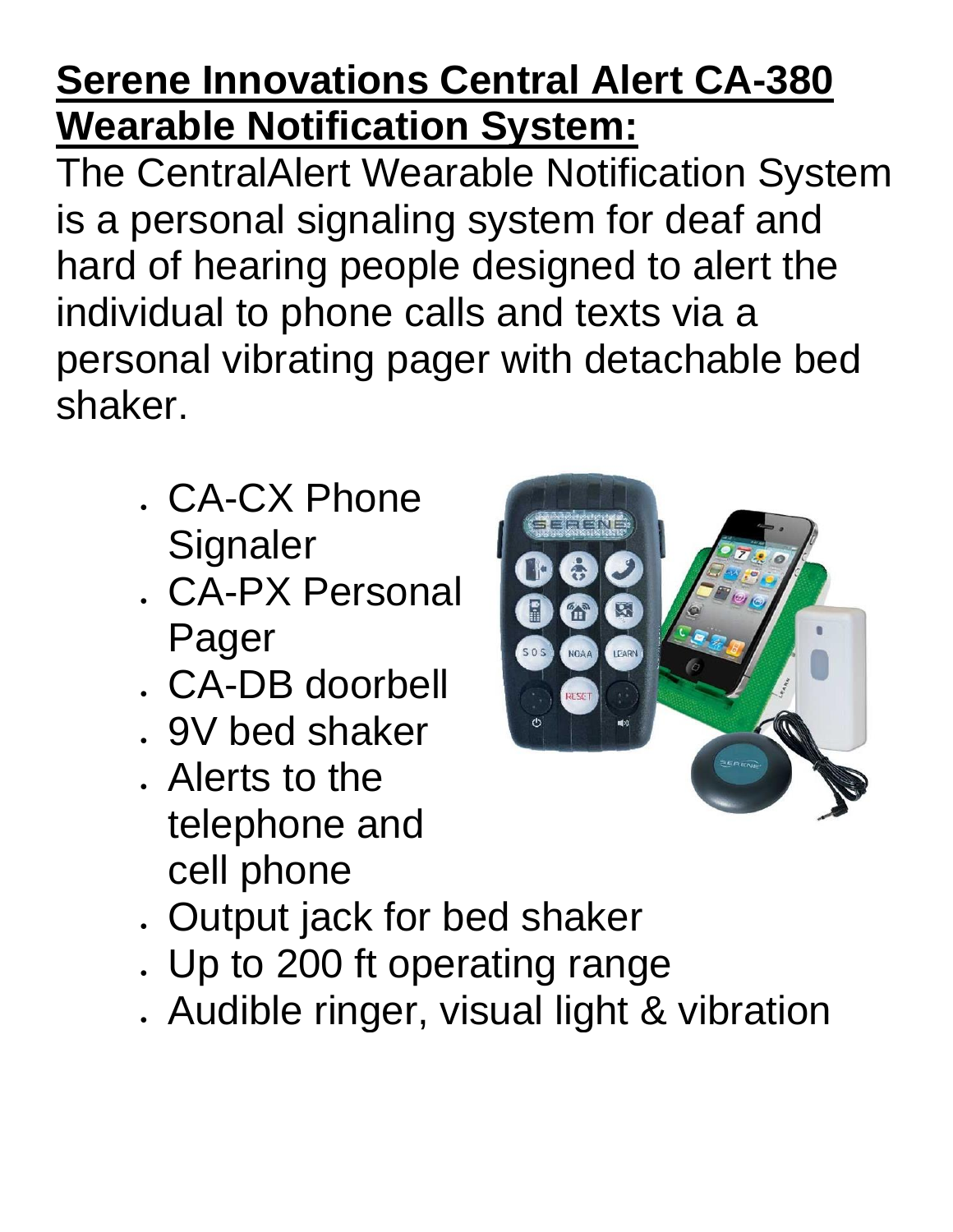# **Serene Innovations Central Alert CA-380 Wearable Notification System:**

The CentralAlert Wearable Notification System is a personal signaling system for deaf and hard of hearing people designed to alert the individual to phone calls and texts via a personal vibrating pager with detachable bed shaker.

- CA-CX Phone **Signaler**
- CA-PX Personal Pager
- CA-DB doorbell
- 9V bed shaker
- Alerts to the telephone and cell phone
- Output jack for bed shaker
- Up to 200 ft operating range
- Audible ringer, visual light & vibration

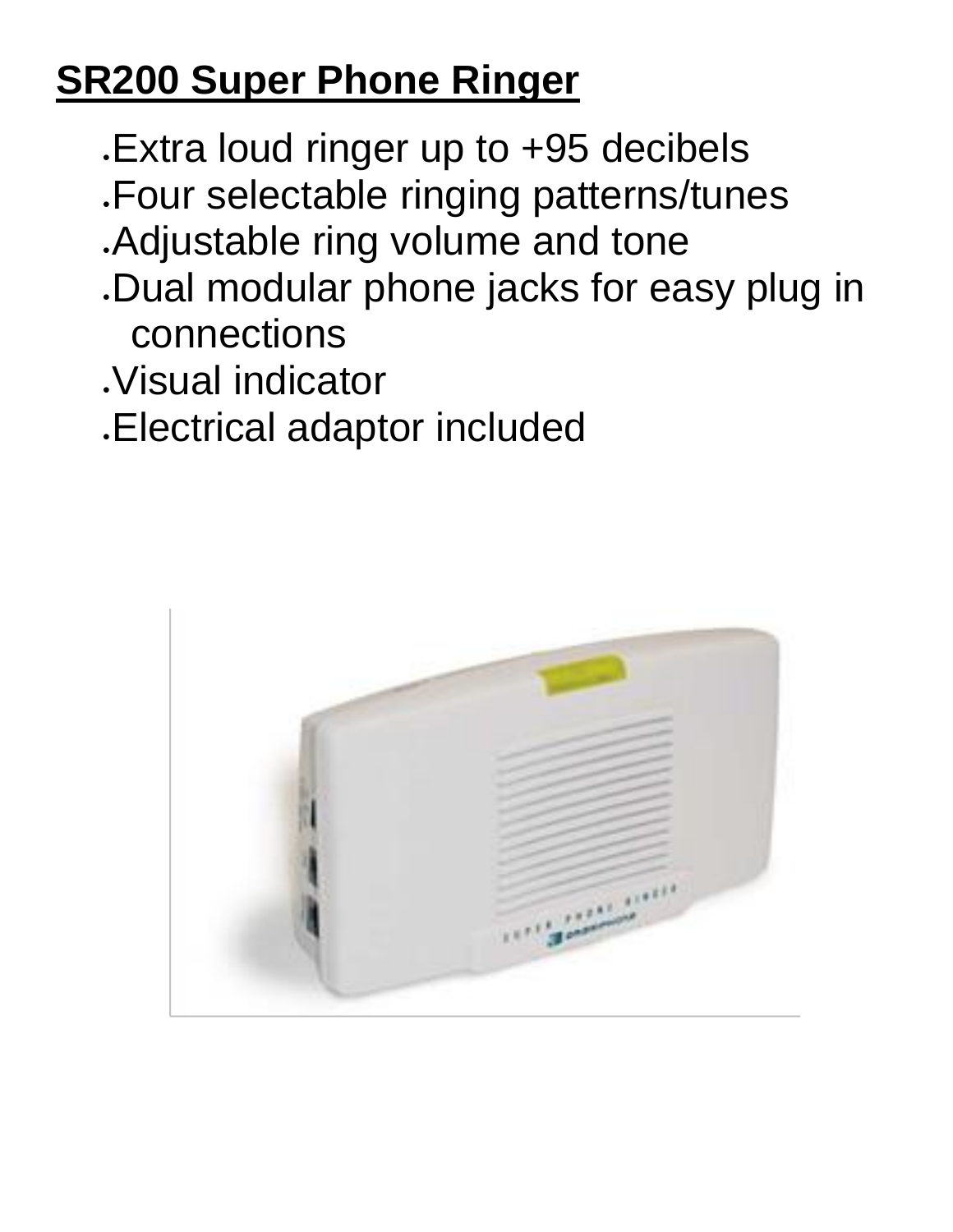# **SR200 Super Phone Ringer**

- •Extra loud ringer up to +95 decibels
- •Four selectable ringing patterns/tunes
- •Adjustable ring volume and tone
- •Dual modular phone jacks for easy plug in connections
- •Visual indicator
- •Electrical adaptor included

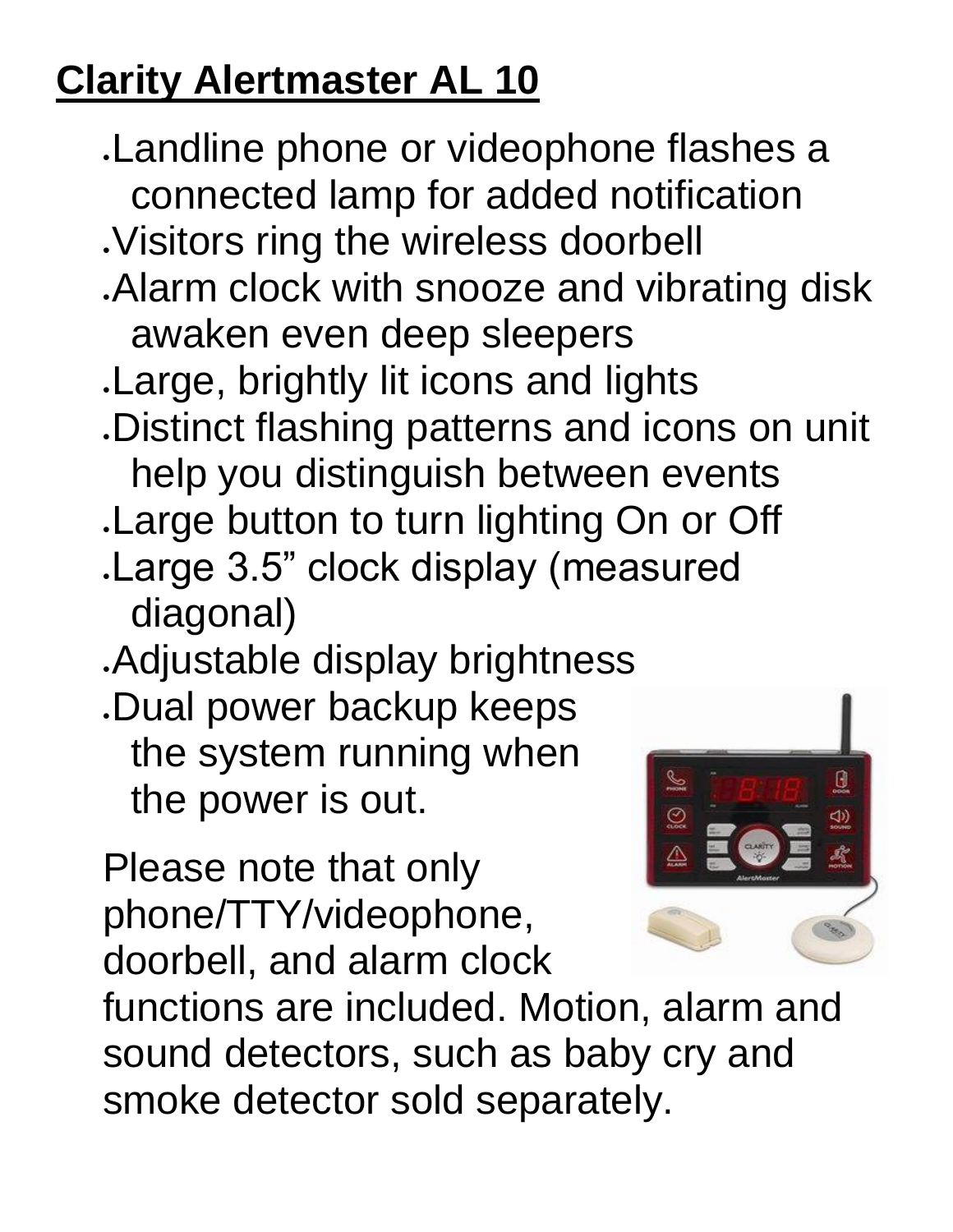# **Clarity Alertmaster AL 10**

•Landline phone or videophone flashes a connected lamp for added notification •Visitors ring the wireless doorbell •Alarm clock with snooze and vibrating disk awaken even deep sleepers •Large, brightly lit icons and lights •Distinct flashing patterns and icons on unit help you distinguish between events •Large button to turn lighting On or Off •Large 3.5" clock display (measured diagonal) •Adjustable display brightness •Dual power backup keeps the system running when the power is out. Please note that only phone/TTY/videophone, doorbell, and alarm clock functions are included. Motion, alarm and

sound detectors, such as baby cry and smoke detector sold separately.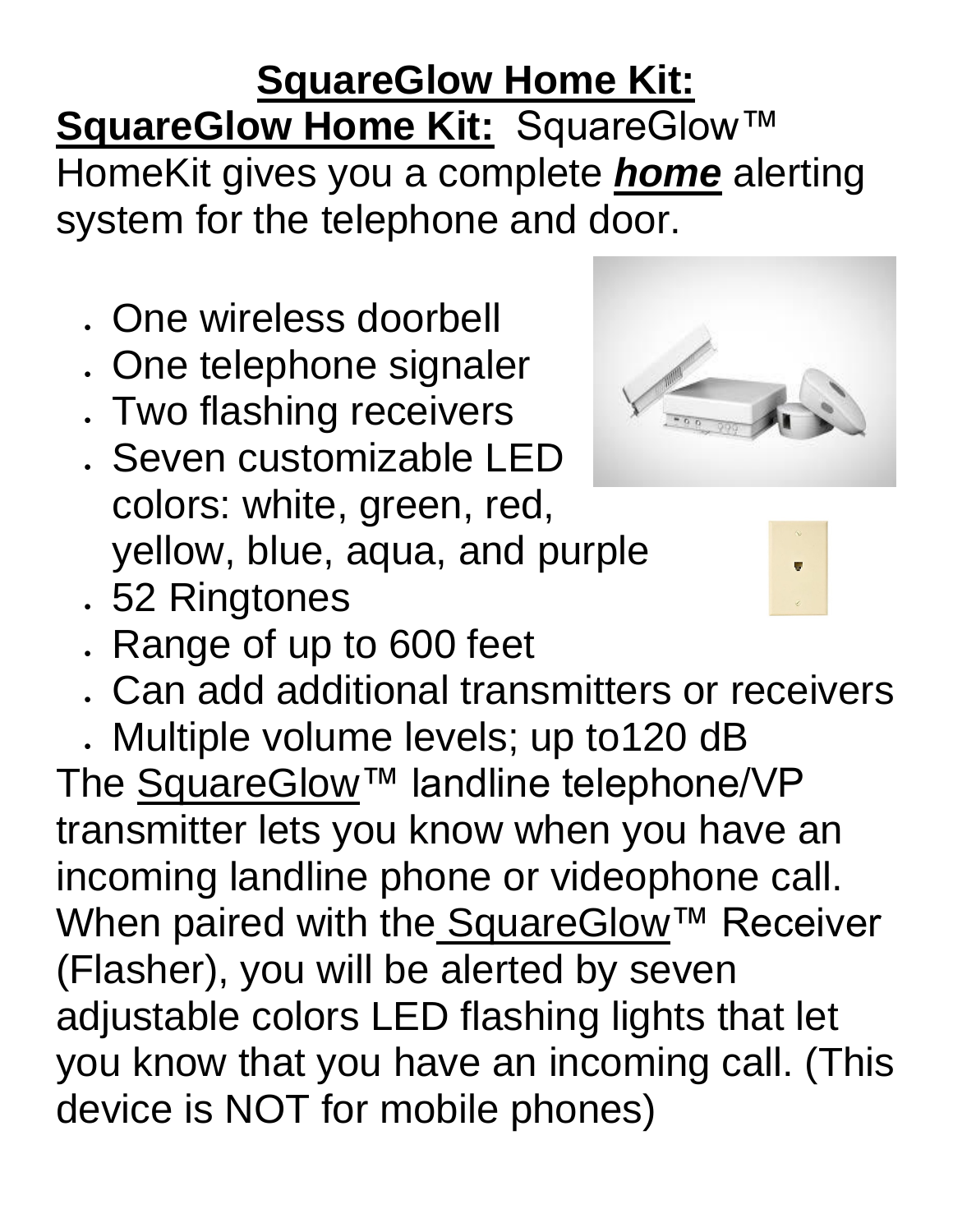#### **SquareGlow Home Kit:** SquareGlow Home Kit: SquareGlow<sup>™</sup> HomeKit gives you a complete *home* alerting system for the telephone and door.

- One wireless doorbell
- One telephone signaler
- Two flashing receivers
- Seven customizable LED colors: white, green, red, yellow, blue, aqua, and purple
- 52 Ringtones



- Range of up to 600 feet
- Can add additional transmitters or receivers

• Multiple volume levels; up to120 dB The [SquareGlow™](https://www.squareglow.com/) landline telephone/VP transmitter lets you know when you have an incoming landline phone or videophone call. When paired with the [SquareGlow™](https://www.squareglow.com/) Receiver (Flasher), you will be alerted by seven adjustable colors LED flashing lights that let you know that you have an incoming call. (This device is NOT for mobile phones)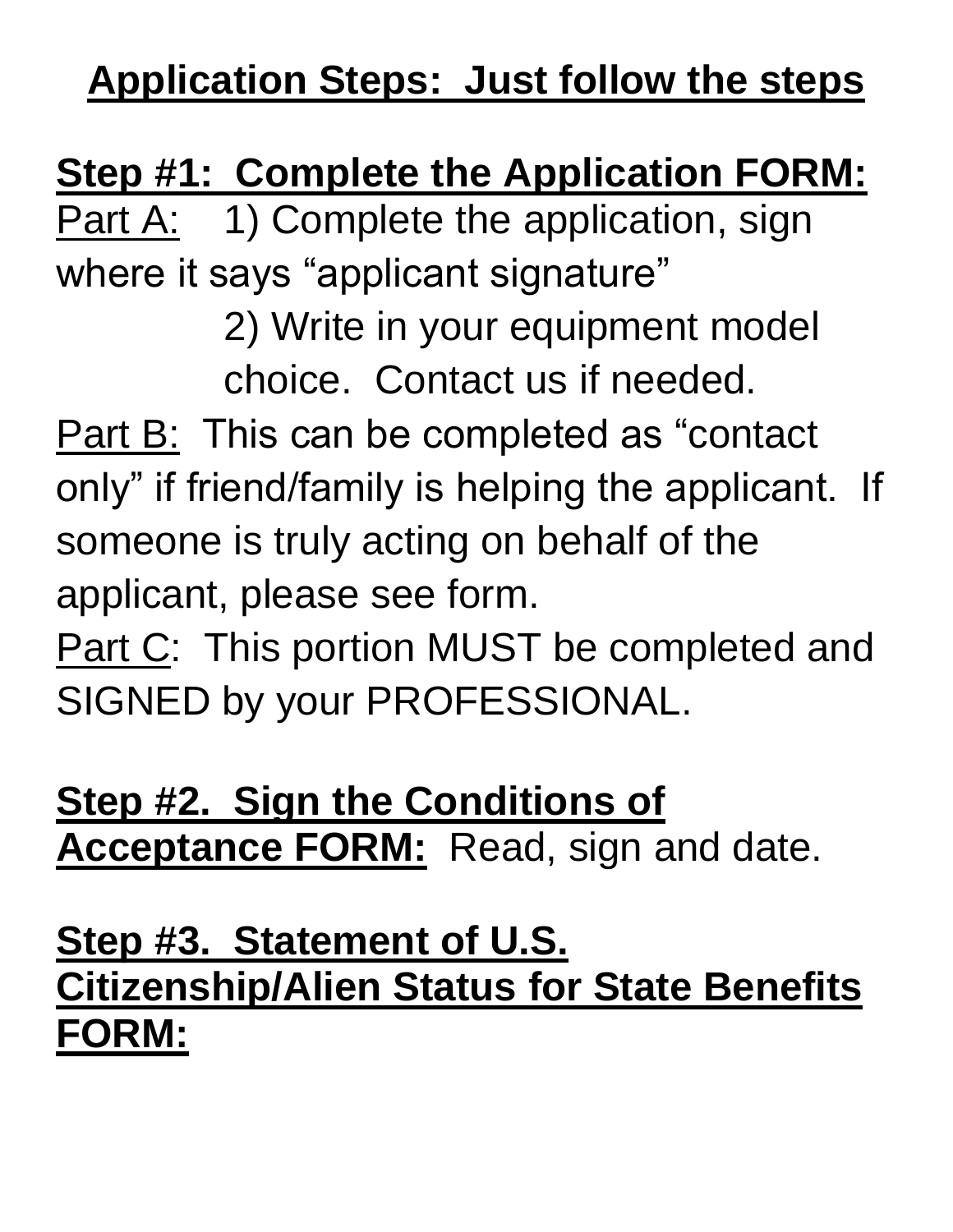# **Application Steps: Just follow the steps**

# **Step #1: Complete the Application FORM:**

Part A: 1) Complete the application, sign where it says "applicant signature"

> 2) Write in your equipment model choice. Contact us if needed.

Part B: This can be completed as "contact" only" if friend/family is helping the applicant. If someone is truly acting on behalf of the applicant, please see form.

Part C: This portion MUST be completed and SIGNED by your PROFESSIONAL.

#### **Step #2. Sign the Conditions of Acceptance FORM:** Read, sign and date.

### **Step #3. Statement of U.S. Citizenship/Alien Status for State Benefits FORM:**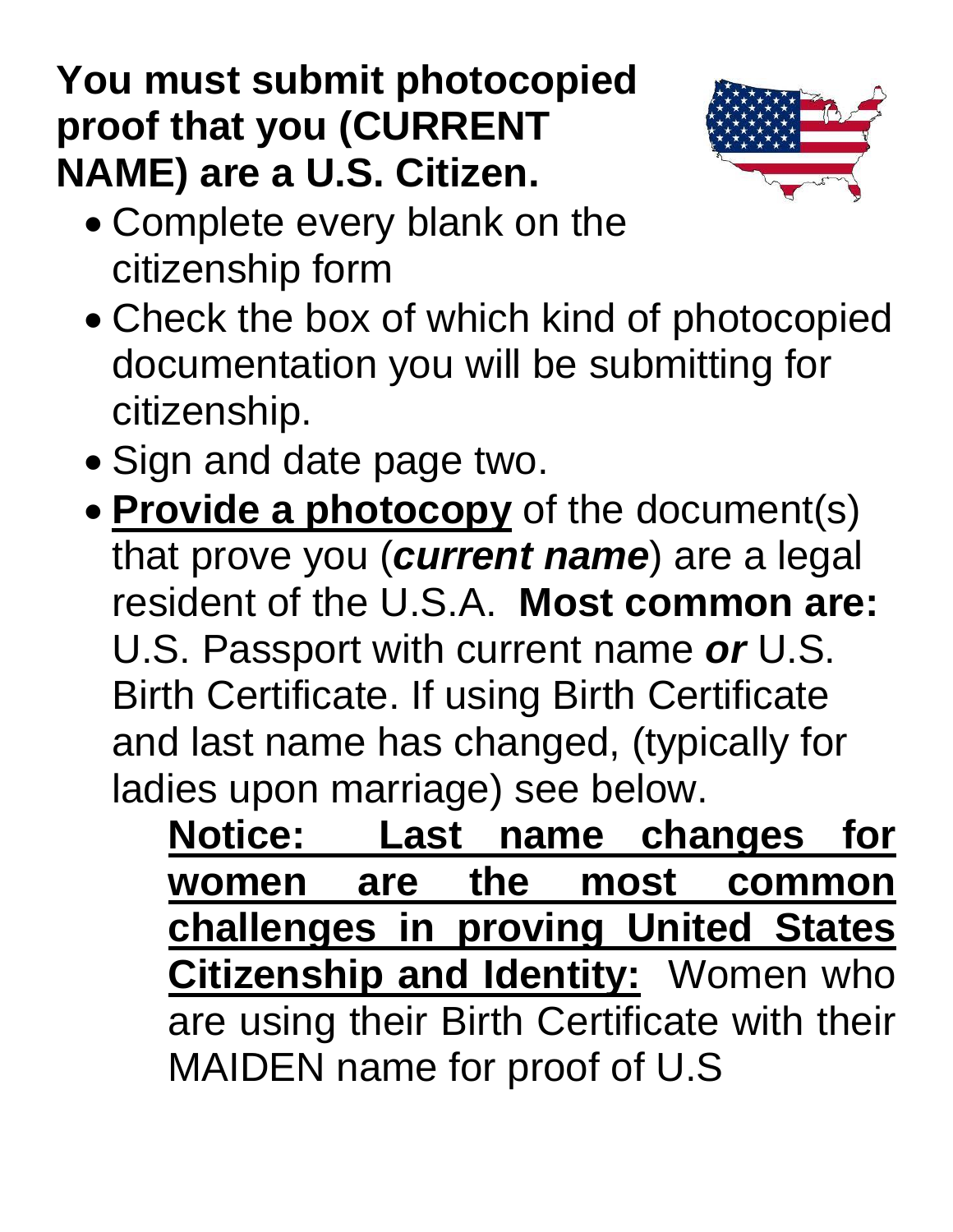# **You must submit photocopied proof that you (CURRENT NAME) are a U.S. Citizen.**



- Complete every blank on the citizenship form
- Check the box of which kind of photocopied documentation you will be submitting for citizenship.
- Sign and date page two.
- **Provide a photocopy** of the document(s) that prove you (*current name*) are a legal resident of the U.S.A. **Most common are:** U.S. Passport with current name *or* U.S. Birth Certificate. If using Birth Certificate and last name has changed, (typically for ladies upon marriage) see below.
	- **Notice: Last name changes for women are the most common challenges in proving United States Citizenship and Identity:** Women who are using their Birth Certificate with their MAIDEN name for proof of U.S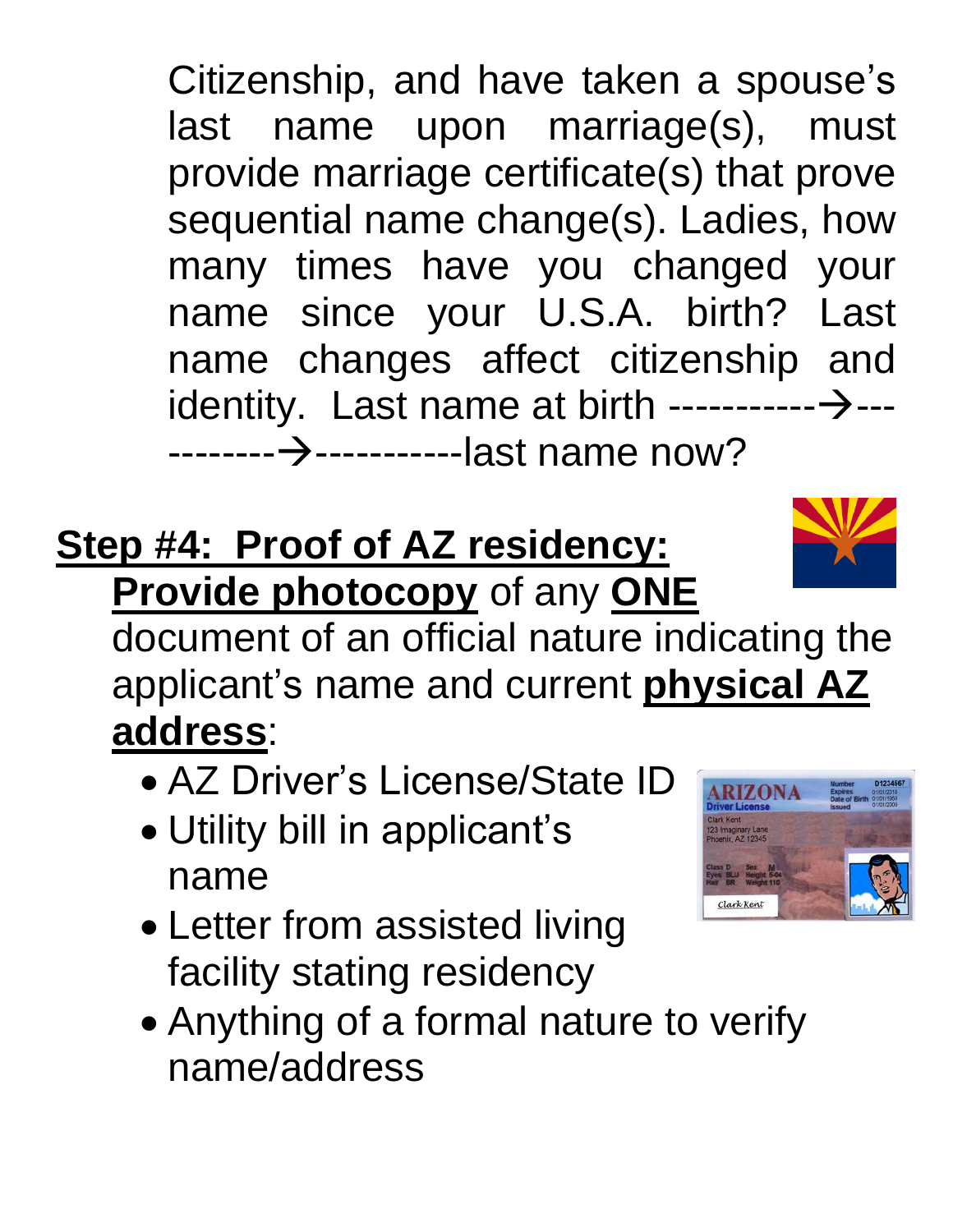Citizenship, and have taken a spouse's last name upon marriage(s), must provide marriage certificate(s) that prove sequential name change(s). Ladies, how many times have you changed your name since your U.S.A. birth? Last name changes affect citizenship and identity. Last name at birth  $\cdots$ --------- $\rightarrow$ ------------→------------last name now?

### **Step #4: Proof of AZ residency: Provide photocopy** of any **ONE**

document of an official nature indicating the applicant's name and current **physical AZ address**:

- AZ Driver's License/State ID
- Utility bill in applicant's name
- Letter from assisted living facility stating residency
- Anything of a formal nature to verify name/address



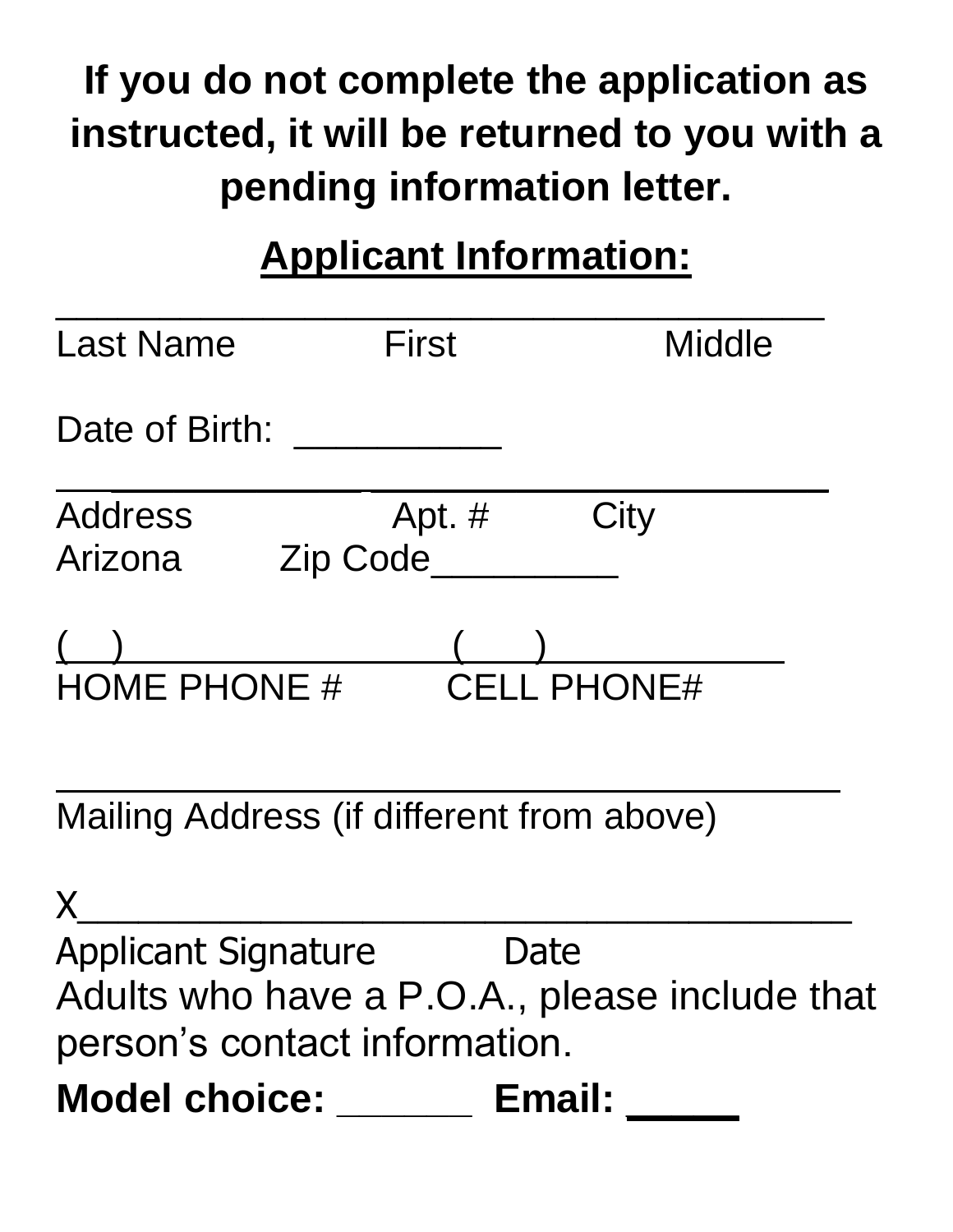# **If you do not complete the application as instructed, it will be returned to you with a pending information letter.**

# **Applicant Information:**

| <b>Last Name</b>           | <b>First</b>                              | <b>Middle</b>                                 |
|----------------------------|-------------------------------------------|-----------------------------------------------|
| Date of Birth:             |                                           |                                               |
| <b>Address</b><br>Arizona  | Apt. $#$<br>Zip Code                      | City                                          |
| <b>HOME PHONE #</b>        |                                           | <b>CELL PHONE#</b>                            |
|                            | Mailing Address (if different from above) |                                               |
|                            |                                           |                                               |
| <b>Applicant Signature</b> | Jate                                      |                                               |
|                            |                                           | Adults who have a P.O.A., please include that |
|                            | person's contact information.             |                                               |
| <b>Model choice:</b>       | Email:                                    |                                               |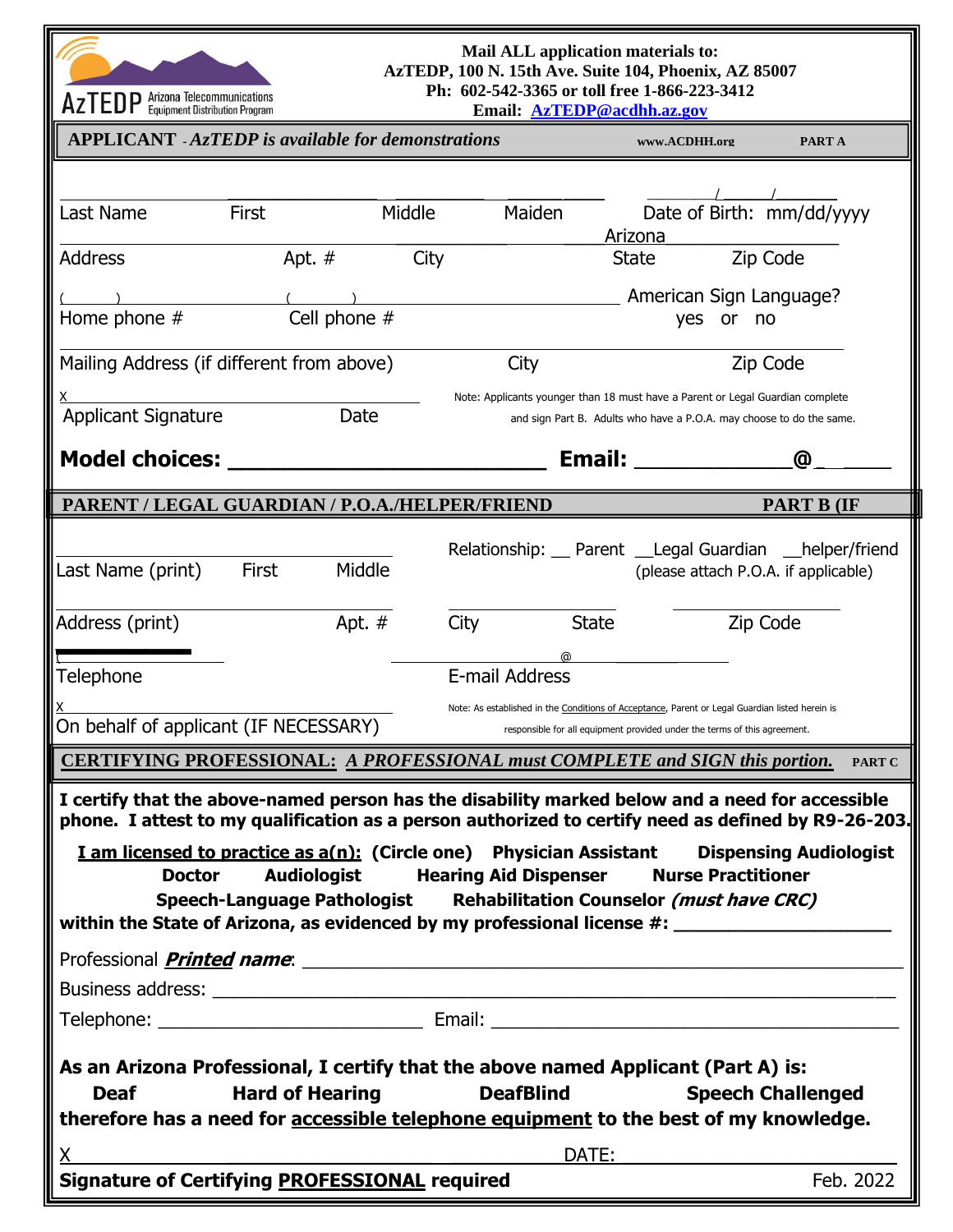

#### **Mail ALL application materials to: AzTEDP, 100 N. 15th Ave. Suite 104, Phoenix, AZ 85007 Ph: 602-542-3365 or toll free 1-866-223-3412**

| <b>AZIED</b> Equipment Distribution Program                                                                                                   |                                                                                                                | Email: AzTEDP@acdhh.az.gov                                                                           |                                                                                                                       |                   |  |
|-----------------------------------------------------------------------------------------------------------------------------------------------|----------------------------------------------------------------------------------------------------------------|------------------------------------------------------------------------------------------------------|-----------------------------------------------------------------------------------------------------------------------|-------------------|--|
|                                                                                                                                               | <b>APPLICANT</b> - AzTEDP is available for demonstrations                                                      |                                                                                                      | www.ACDHH.org                                                                                                         | PART A            |  |
|                                                                                                                                               |                                                                                                                |                                                                                                      |                                                                                                                       |                   |  |
| Last Name                                                                                                                                     | <b>First</b>                                                                                                   | Maiden<br>Middle                                                                                     | Date of Birth: mm/dd/yyyy                                                                                             |                   |  |
|                                                                                                                                               |                                                                                                                |                                                                                                      | Arizona                                                                                                               |                   |  |
| <b>Address</b>                                                                                                                                | Apt. $#$                                                                                                       | City                                                                                                 | <b>State</b>                                                                                                          | Zip Code          |  |
|                                                                                                                                               |                                                                                                                |                                                                                                      | American Sign Language?                                                                                               |                   |  |
| Home phone #                                                                                                                                  | Cell phone #                                                                                                   |                                                                                                      | yes or no                                                                                                             |                   |  |
|                                                                                                                                               | Mailing Address (if different from above)                                                                      | City                                                                                                 |                                                                                                                       | Zip Code          |  |
|                                                                                                                                               |                                                                                                                |                                                                                                      | Note: Applicants younger than 18 must have a Parent or Legal Guardian complete                                        |                   |  |
| Applicant Signature                                                                                                                           | Date                                                                                                           |                                                                                                      | and sign Part B. Adults who have a P.O.A. may choose to do the same.                                                  |                   |  |
| <b>Model choices:</b>                                                                                                                         |                                                                                                                |                                                                                                      | <b>Email:</b>                                                                                                         | @                 |  |
|                                                                                                                                               |                                                                                                                |                                                                                                      |                                                                                                                       |                   |  |
|                                                                                                                                               | PARENT / LEGAL GUARDIAN / P.O.A./HELPER/FRIEND                                                                 |                                                                                                      |                                                                                                                       | <b>PART B (IF</b> |  |
|                                                                                                                                               |                                                                                                                |                                                                                                      | Relationship: __ Parent __Legal Guardian __helper/friend                                                              |                   |  |
| Last Name (print)                                                                                                                             | Middle<br><b>First</b>                                                                                         |                                                                                                      | (please attach P.O.A. if applicable)                                                                                  |                   |  |
| Address (print)                                                                                                                               | Apt. #                                                                                                         | City                                                                                                 | <b>State</b>                                                                                                          | Zip Code          |  |
|                                                                                                                                               |                                                                                                                |                                                                                                      |                                                                                                                       |                   |  |
| Telephone                                                                                                                                     |                                                                                                                | E-mail Address                                                                                       |                                                                                                                       |                   |  |
|                                                                                                                                               |                                                                                                                |                                                                                                      | Note: As established in the Conditions of Acceptance, Parent or Legal Guardian listed herein is                       |                   |  |
| On behalf of applicant (IF NECESSARY)                                                                                                         |                                                                                                                |                                                                                                      | responsible for all equipment provided under the terms of this agreement.                                             |                   |  |
|                                                                                                                                               |                                                                                                                | <b>CERTIFYING PROFESSIONAL: A PROFESSIONAL must COMPLETE and SIGN this portion.</b>                  |                                                                                                                       | <b>PART C</b>     |  |
|                                                                                                                                               |                                                                                                                | I certify that the above-named person has the disability marked below and a need for accessible      |                                                                                                                       |                   |  |
|                                                                                                                                               |                                                                                                                | phone. I attest to my qualification as a person authorized to certify need as defined by R9-26-203.  |                                                                                                                       |                   |  |
| <b>Doctor</b>                                                                                                                                 |                                                                                                                | <b>I am licensed to practice as a(n): (Circle one)</b> Physician Assistant Dispensing Audiologist    |                                                                                                                       |                   |  |
| <b>Audiologist Hearing Aid Dispenser</b><br><b>Nurse Practitioner</b><br>Speech-Language Pathologist Rehabilitation Counselor (must have CRC) |                                                                                                                |                                                                                                      |                                                                                                                       |                   |  |
|                                                                                                                                               |                                                                                                                | within the State of Arizona, as evidenced by my professional license #: ____________________________ |                                                                                                                       |                   |  |
|                                                                                                                                               |                                                                                                                |                                                                                                      |                                                                                                                       |                   |  |
|                                                                                                                                               |                                                                                                                |                                                                                                      |                                                                                                                       |                   |  |
|                                                                                                                                               |                                                                                                                |                                                                                                      |                                                                                                                       |                   |  |
|                                                                                                                                               |                                                                                                                |                                                                                                      |                                                                                                                       |                   |  |
| As an Arizona Professional, I certify that the above named Applicant (Part A) is:<br><b>Speech Challenged</b>                                 |                                                                                                                |                                                                                                      |                                                                                                                       |                   |  |
| <b>Deaf</b>                                                                                                                                   | <b>Hard of Hearing</b>                                                                                         | <b>DeafBlind</b>                                                                                     |                                                                                                                       |                   |  |
| therefore has a need for accessible telephone equipment to the best of my knowledge.                                                          |                                                                                                                |                                                                                                      |                                                                                                                       |                   |  |
| $X_{\cdot}$                                                                                                                                   | <u> 1989 - Jan Barnett, fransk politiker (d. 1989)</u><br><b>Signature of Certifying PROFESSIONAL required</b> | DATE:                                                                                                | <u> 1980 - Andrea Aontaithe ann an t-Aontaithe ann an t-Aontaithe ann an t-Aontaithe ann an t-Aontaithe ann an t-</u> | Feb. 2022         |  |
|                                                                                                                                               |                                                                                                                |                                                                                                      |                                                                                                                       |                   |  |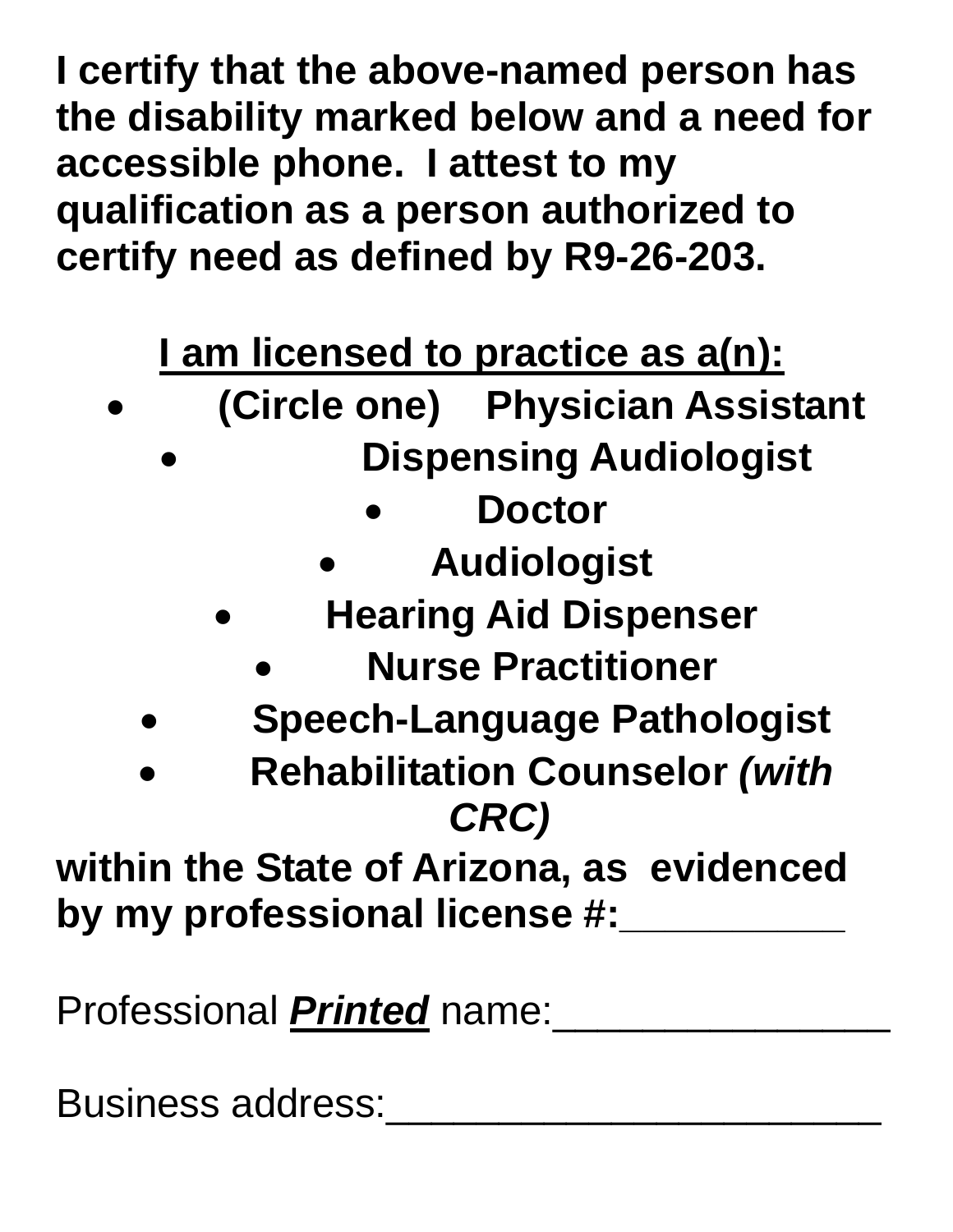**I certify that the above-named person has the disability marked below and a need for accessible phone. I attest to my qualification as a person authorized to certify need as defined by R9-26-203.** 

**I am licensed to practice as a(n):** 

- **(Circle one) Physician Assistant**
	- • **Dispensing Audiologist**
		- **Doctor**
		- **Audiologist**
		- **Hearing Aid Dispenser** 
			- **Nurse Practitioner**
	- **Speech-Language Pathologist**
	- **Rehabilitation Counselor** *(with CRC)*

**within the State of Arizona, as evidenced by my professional license #:\_\_\_\_\_\_\_\_\_\_**

Professional *Printed* name:\_\_\_\_\_\_\_\_\_\_\_\_\_\_\_

Business address: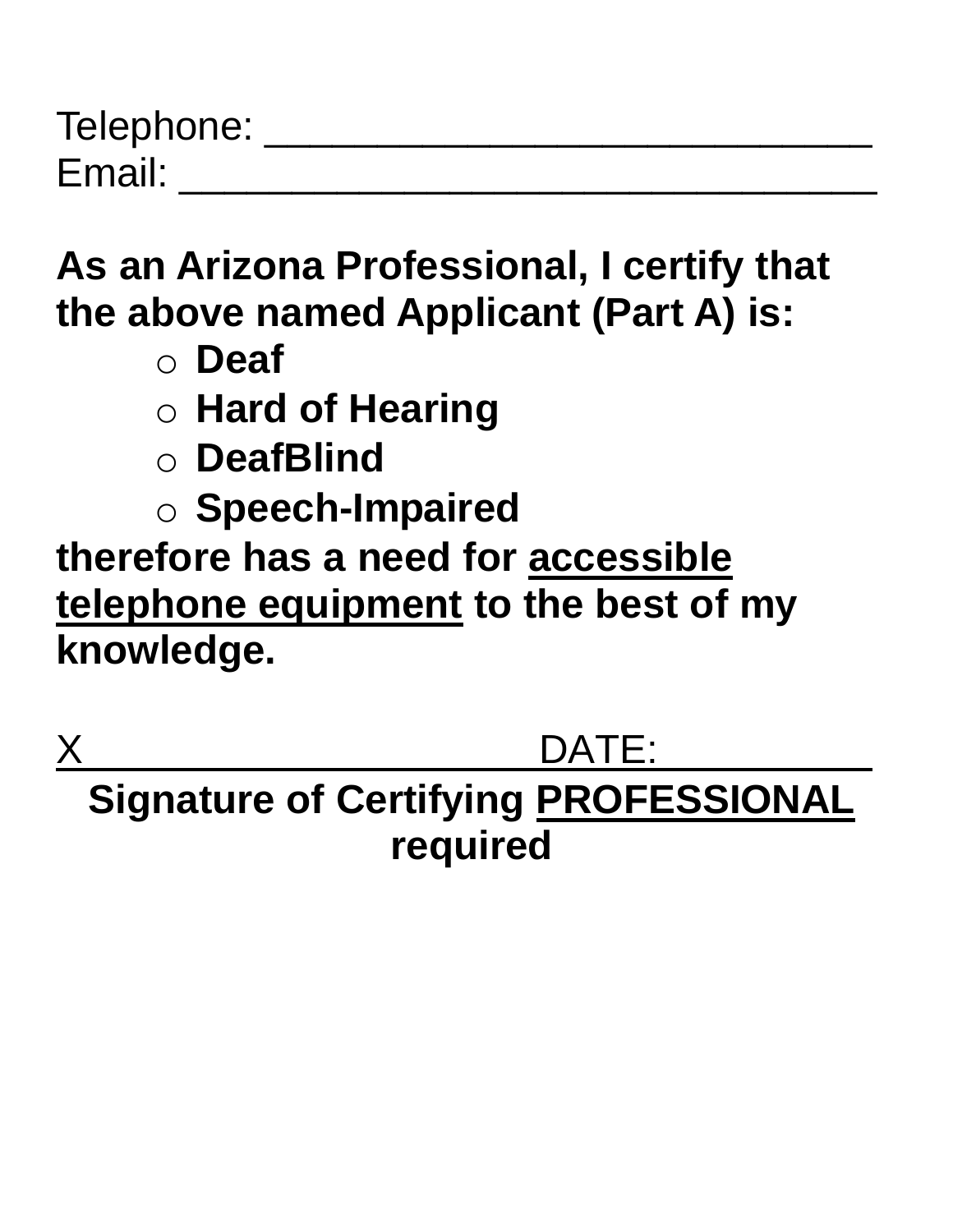| Telephone: |  |
|------------|--|
| Email:     |  |

**As an Arizona Professional, I certify that the above named Applicant (Part A) is:** 

- o **Deaf**
- o **Hard of Hearing**
- o **DeafBlind**
- o **Speech-Impaired**

**therefore has a need for accessible telephone equipment to the best of my knowledge.** 

 $DATE:$ **Signature of Certifying PROFESSIONAL required**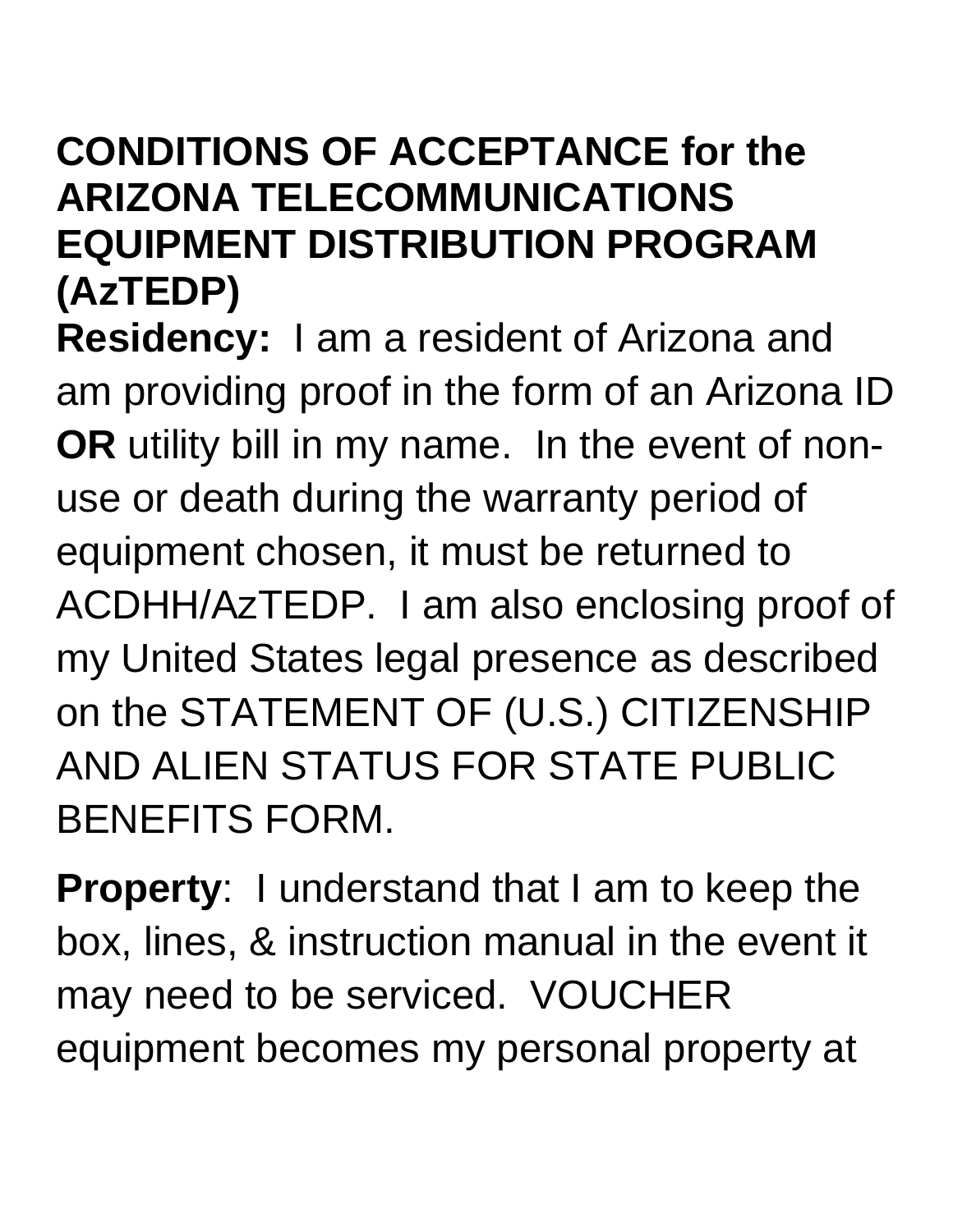#### **CONDITIONS OF ACCEPTANCE for the ARIZONA TELECOMMUNICATIONS EQUIPMENT DISTRIBUTION PROGRAM (AzTEDP)**

**Residency:** I am a resident of Arizona and am providing proof in the form of an Arizona ID **OR** utility bill in my name. In the event of nonuse or death during the warranty period of equipment chosen, it must be returned to ACDHH/AzTEDP. I am also enclosing proof of my United States legal presence as described on the STATEMENT OF (U.S.) CITIZENSHIP AND ALIEN STATUS FOR STATE PUBLIC BENEFITS FORM.

**Property**: I understand that I am to keep the box, lines, & instruction manual in the event it may need to be serviced. VOUCHER equipment becomes my personal property at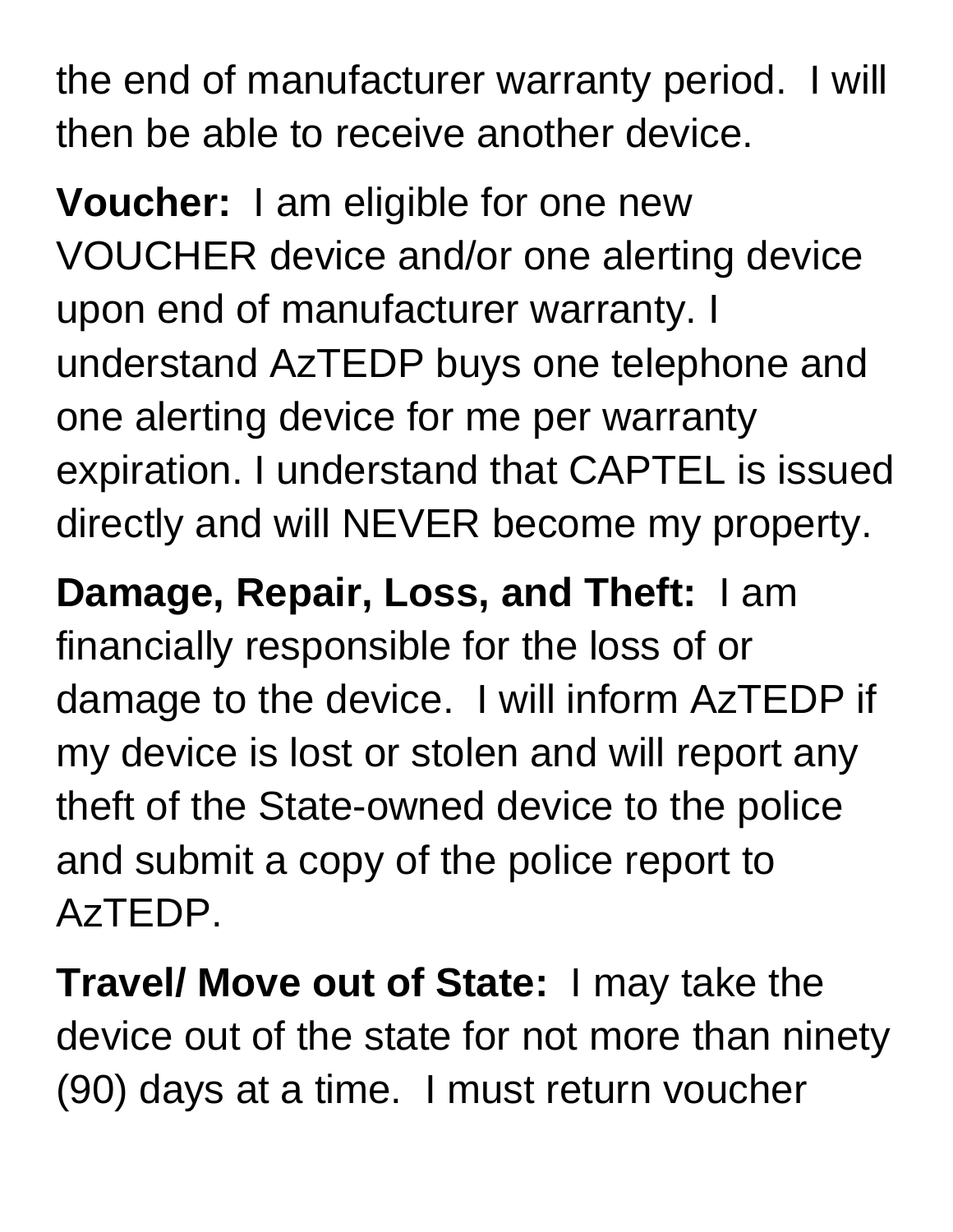the end of manufacturer warranty period. I will then be able to receive another device.

**Voucher:** I am eligible for one new VOUCHER device and/or one alerting device upon end of manufacturer warranty. I understand AzTEDP buys one telephone and one alerting device for me per warranty expiration. I understand that CAPTEL is issued directly and will NEVER become my property.

**Damage, Repair, Loss, and Theft:** I am financially responsible for the loss of or damage to the device. I will inform AzTEDP if my device is lost or stolen and will report any theft of the State-owned device to the police and submit a copy of the police report to AzTEDP.

**Travel/ Move out of State:** I may take the device out of the state for not more than ninety (90) days at a time. I must return voucher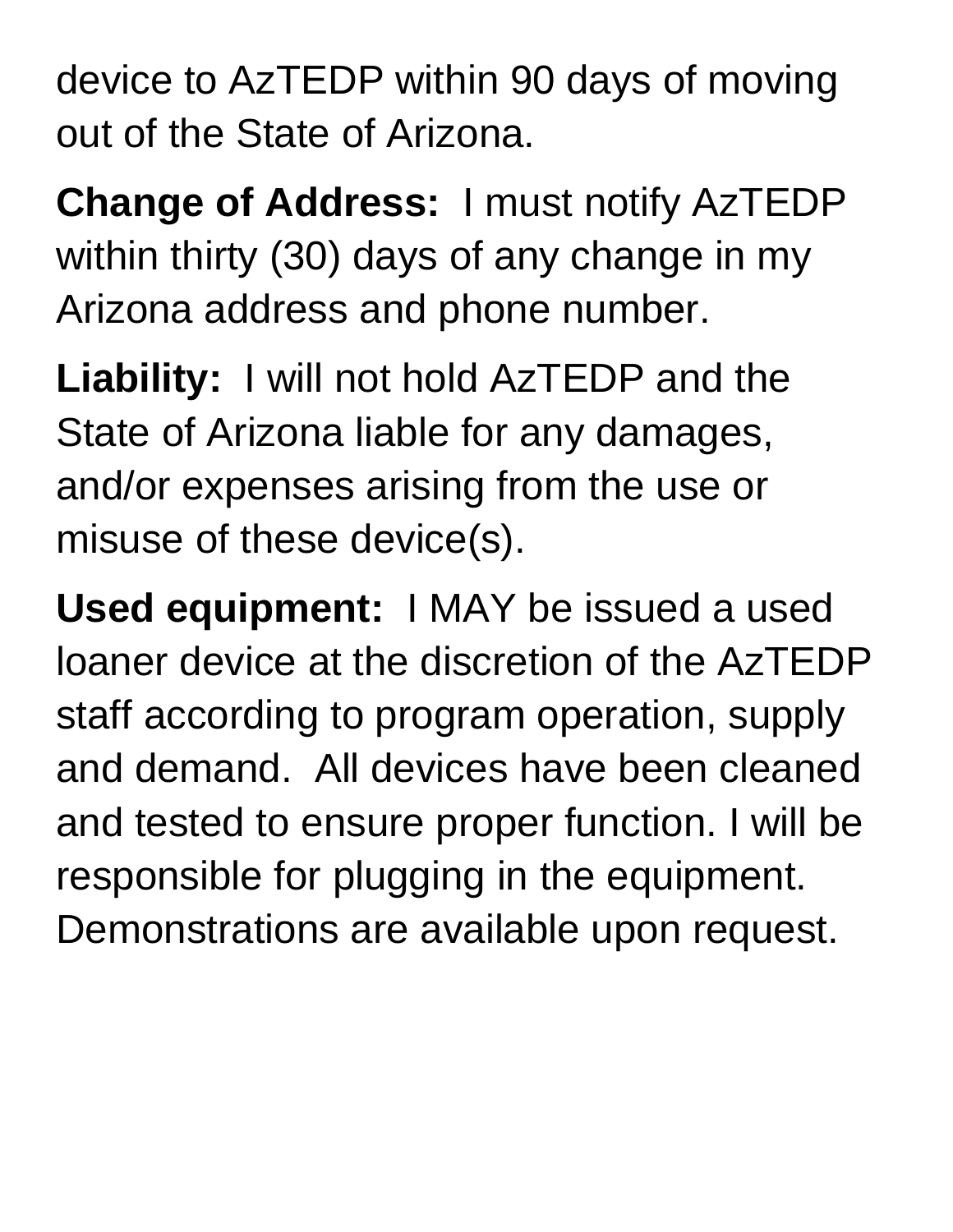device to AzTEDP within 90 days of moving out of the State of Arizona.

**Change of Address:** I must notify AzTEDP within thirty (30) days of any change in my Arizona address and phone number.

**Liability:** I will not hold AzTEDP and the State of Arizona liable for any damages, and/or expenses arising from the use or misuse of these device(s).

**Used equipment:** I MAY be issued a used loaner device at the discretion of the AzTEDP staff according to program operation, supply and demand. All devices have been cleaned and tested to ensure proper function. I will be responsible for plugging in the equipment. Demonstrations are available upon request.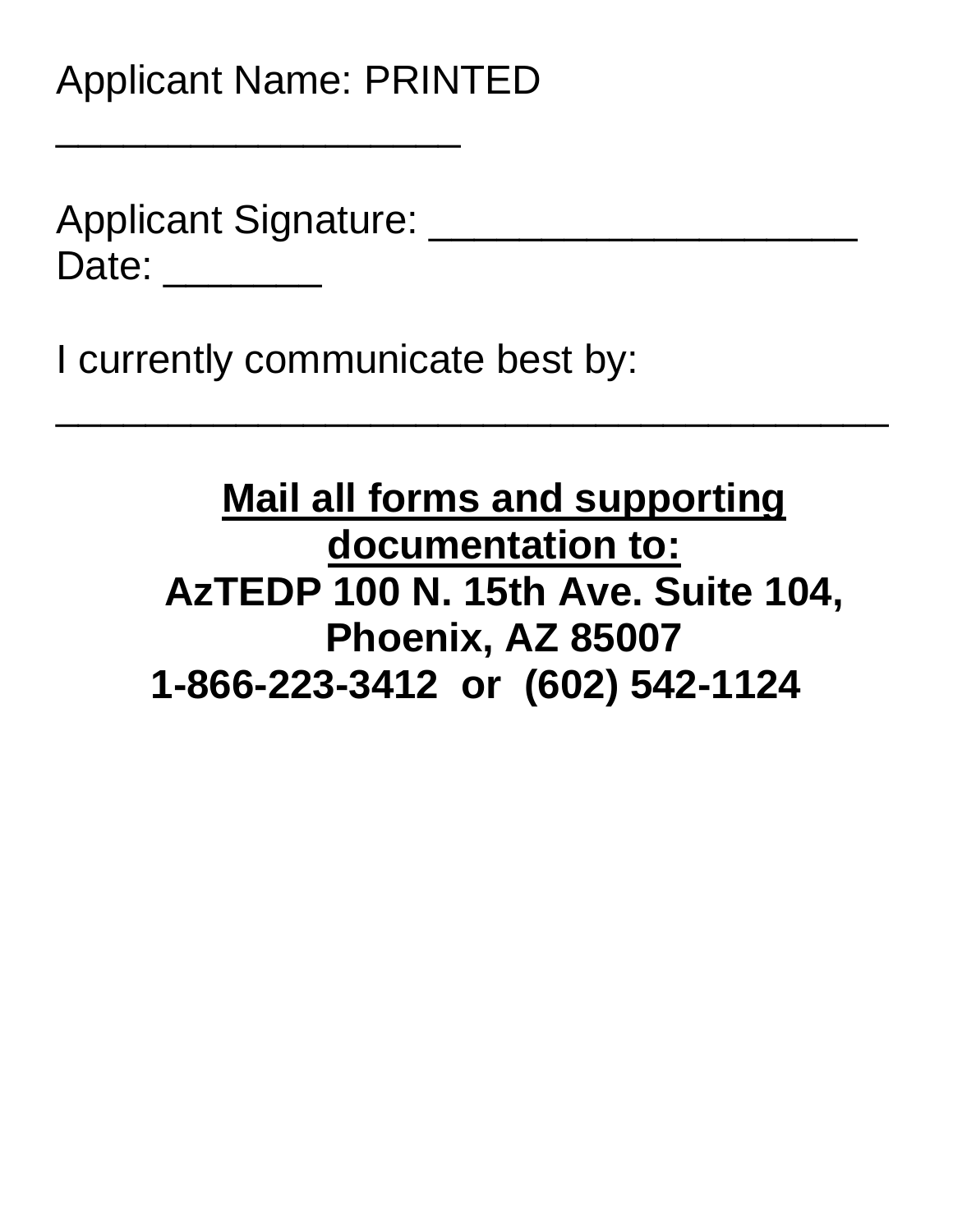Applicant Signature: \_\_\_\_\_\_ Date: \_\_\_\_\_\_\_\_\_

 $\overline{\phantom{a}}$  , where  $\overline{\phantom{a}}$  , where  $\overline{\phantom{a}}$  , where  $\overline{\phantom{a}}$  , where  $\overline{\phantom{a}}$ 

I currently communicate best by:

#### **Mail all forms and supporting documentation to: AzTEDP 100 N. 15th Ave. Suite 104, Phoenix, AZ 85007 1-866-223-3412 or (602) 542-1124**

 $\frac{1}{2}$  ,  $\frac{1}{2}$  ,  $\frac{1}{2}$  ,  $\frac{1}{2}$  ,  $\frac{1}{2}$  ,  $\frac{1}{2}$  ,  $\frac{1}{2}$  ,  $\frac{1}{2}$  ,  $\frac{1}{2}$  ,  $\frac{1}{2}$  ,  $\frac{1}{2}$  ,  $\frac{1}{2}$  ,  $\frac{1}{2}$  ,  $\frac{1}{2}$  ,  $\frac{1}{2}$  ,  $\frac{1}{2}$  ,  $\frac{1}{2}$  ,  $\frac{1}{2}$  ,  $\frac{1$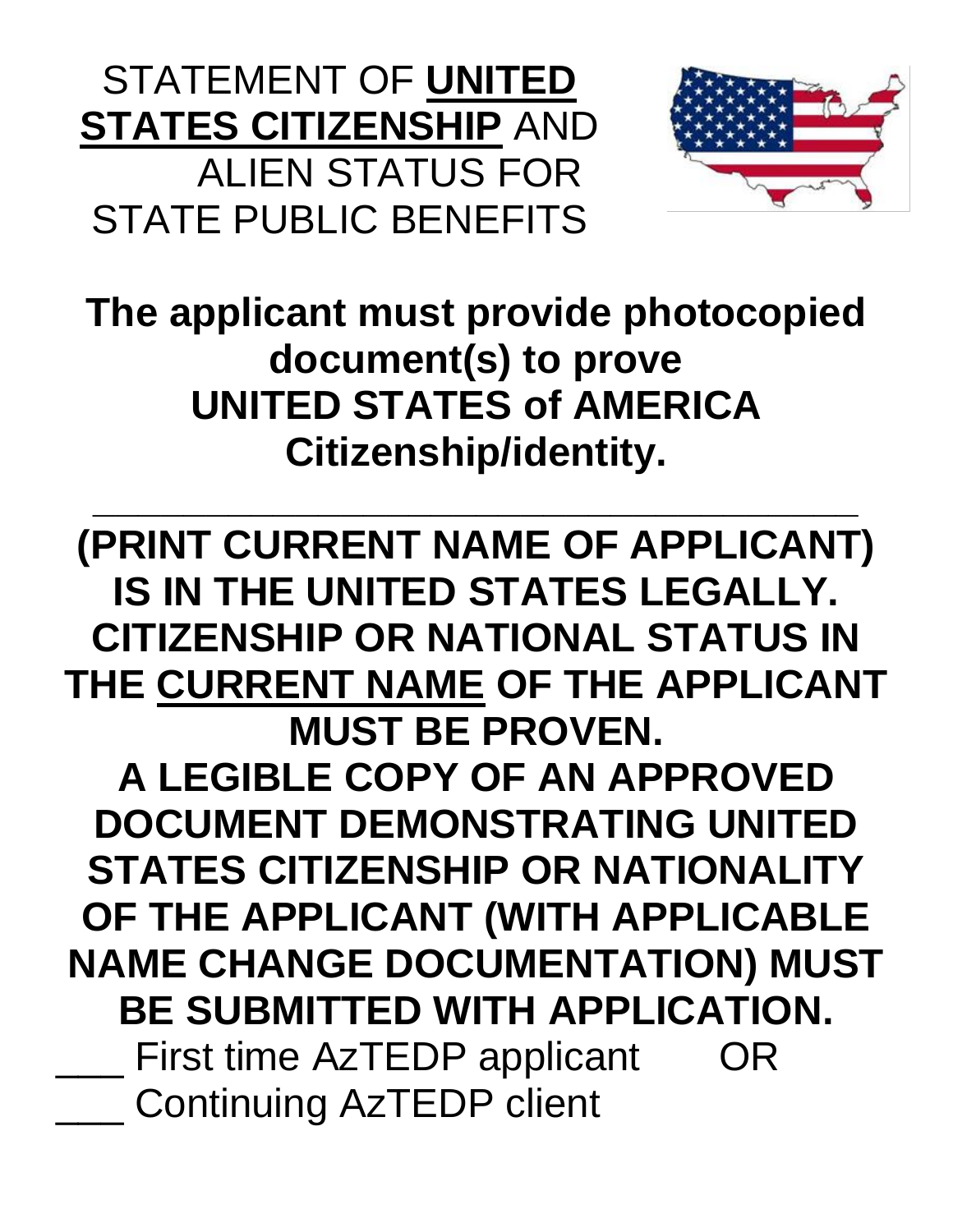STATEMENT OF **UNITED STATES CITIZENSHIP** AND ALIEN STATUS FOR STATE PUBLIC BENEFITS



**The applicant must provide photocopied document(s) to prove UNITED STATES of AMERICA Citizenship/identity.**

**\_\_\_\_\_\_\_\_\_\_\_\_\_\_\_\_\_\_\_\_\_\_\_\_\_\_\_\_\_\_\_\_\_\_ (PRINT CURRENT NAME OF APPLICANT) IS IN THE UNITED STATES LEGALLY. CITIZENSHIP OR NATIONAL STATUS IN THE CURRENT NAME OF THE APPLICANT MUST BE PROVEN. A LEGIBLE COPY OF AN APPROVED DOCUMENT DEMONSTRATING UNITED STATES CITIZENSHIP OR NATIONALITY OF THE APPLICANT (WITH APPLICABLE NAME CHANGE DOCUMENTATION) MUST BE SUBMITTED WITH APPLICATION.** First time AzTEDP applicant OR Continuing AzTEDP client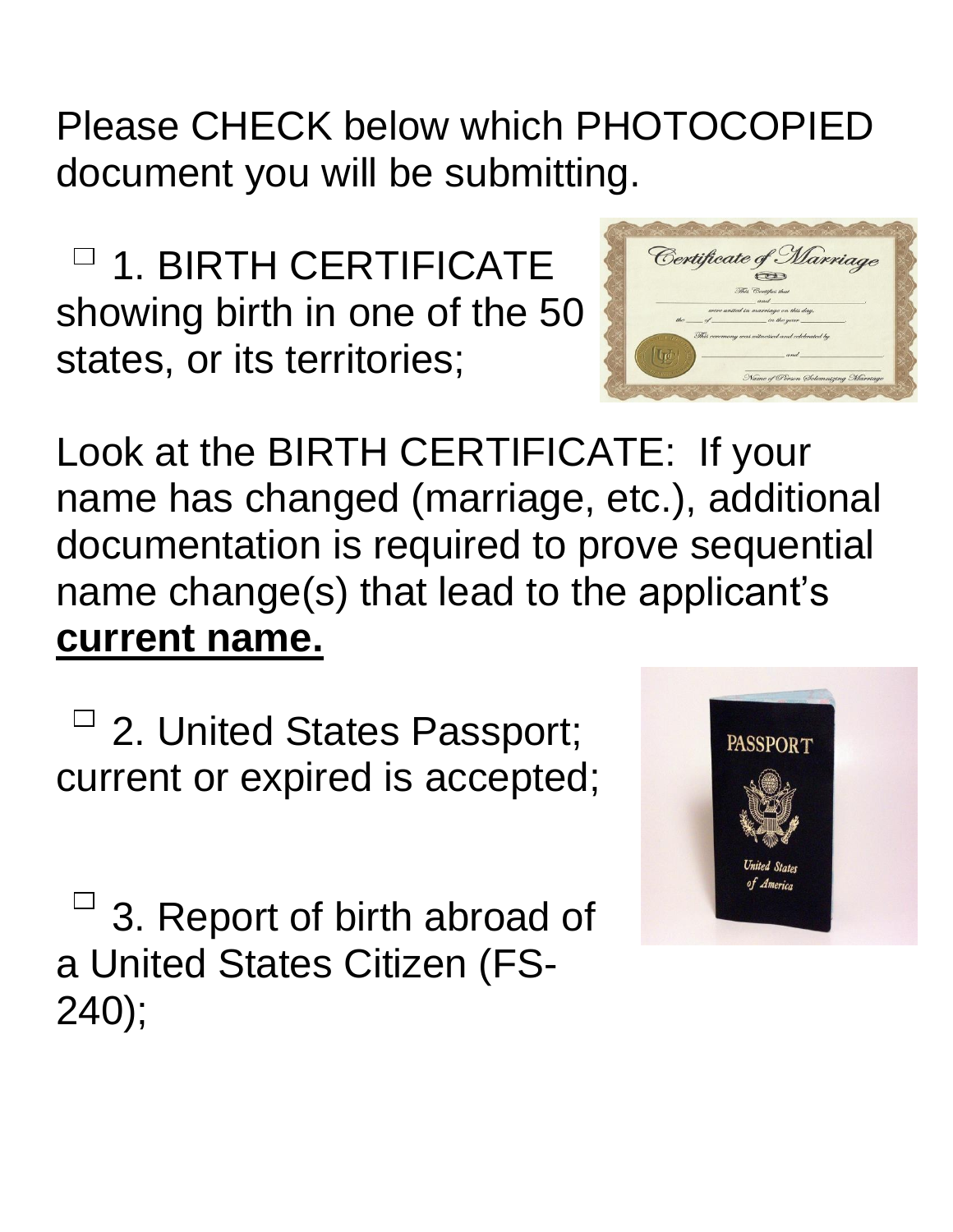Please CHECK below which PHOTOCOPIED document you will be submitting.

□ 1. BIRTH CERTIFICATE showing birth in one of the 50 states, or its territories;



Look at the BIRTH CERTIFICATE: If your name has changed (marriage, etc.), additional documentation is required to prove sequential name change(s) that lead to the applicant's **current name.**

 $\overline{\phantom{a}}$  2. United States Passport; current or expired is accepted;

 $^{-1}$  3. Report of birth abroad of a United States Citizen (FS-240);

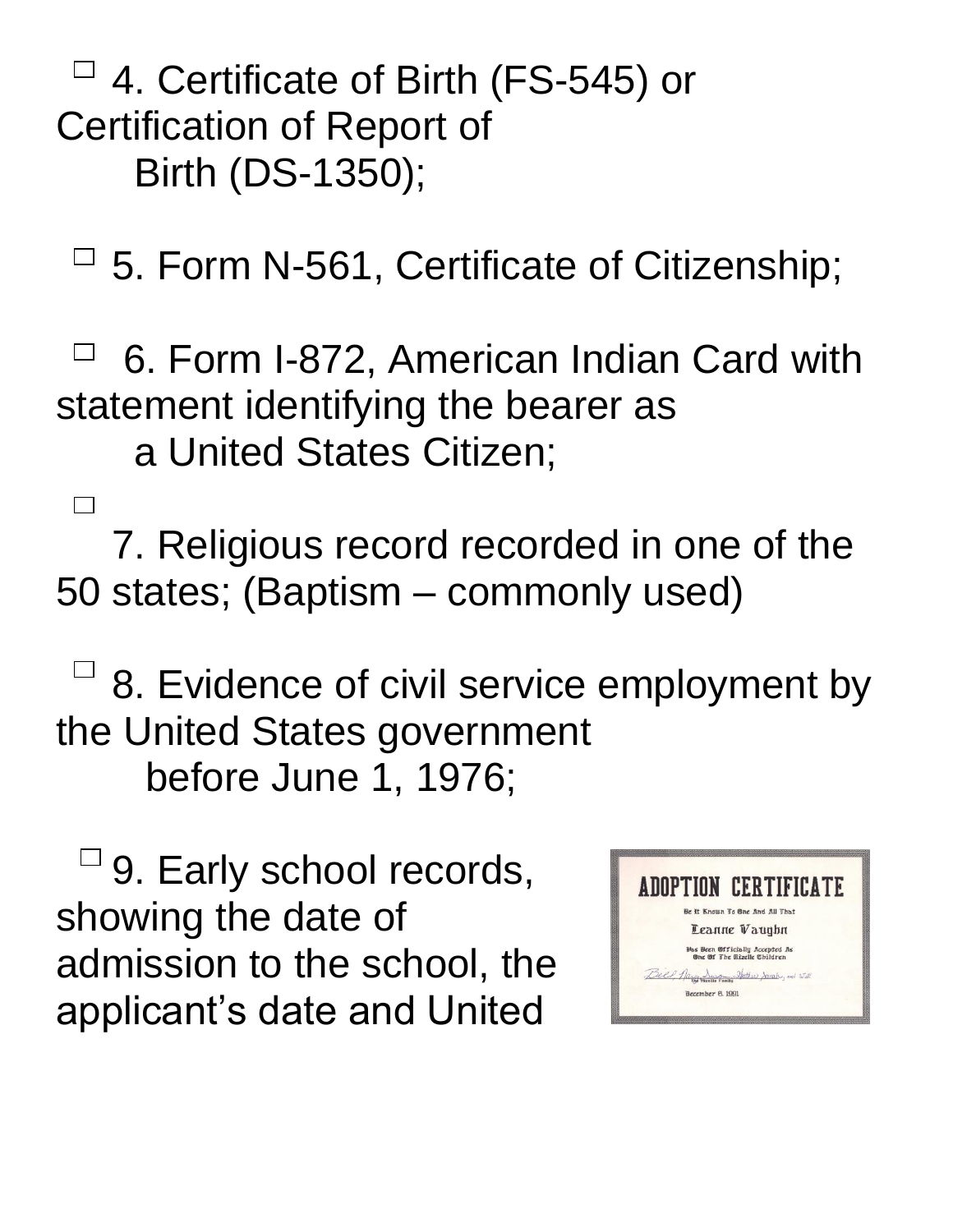4. Certificate of Birth (FS-545) or Certification of Report of Birth (DS-1350);

 $\Box$  5. Form N-561, Certificate of Citizenship;

6. Form I-872, American Indian Card with  $\Box$ statement identifying the bearer as a United States Citizen;

7. Religious record recorded in one of the 50 states; (Baptism – commonly used)

 $\Box$  8. Evidence of civil service employment by the United States government before June 1, 1976;

 $\sqcup$  9. Early school records, showing the date of admission to the school, the applicant's date and United

 $\Box$ 

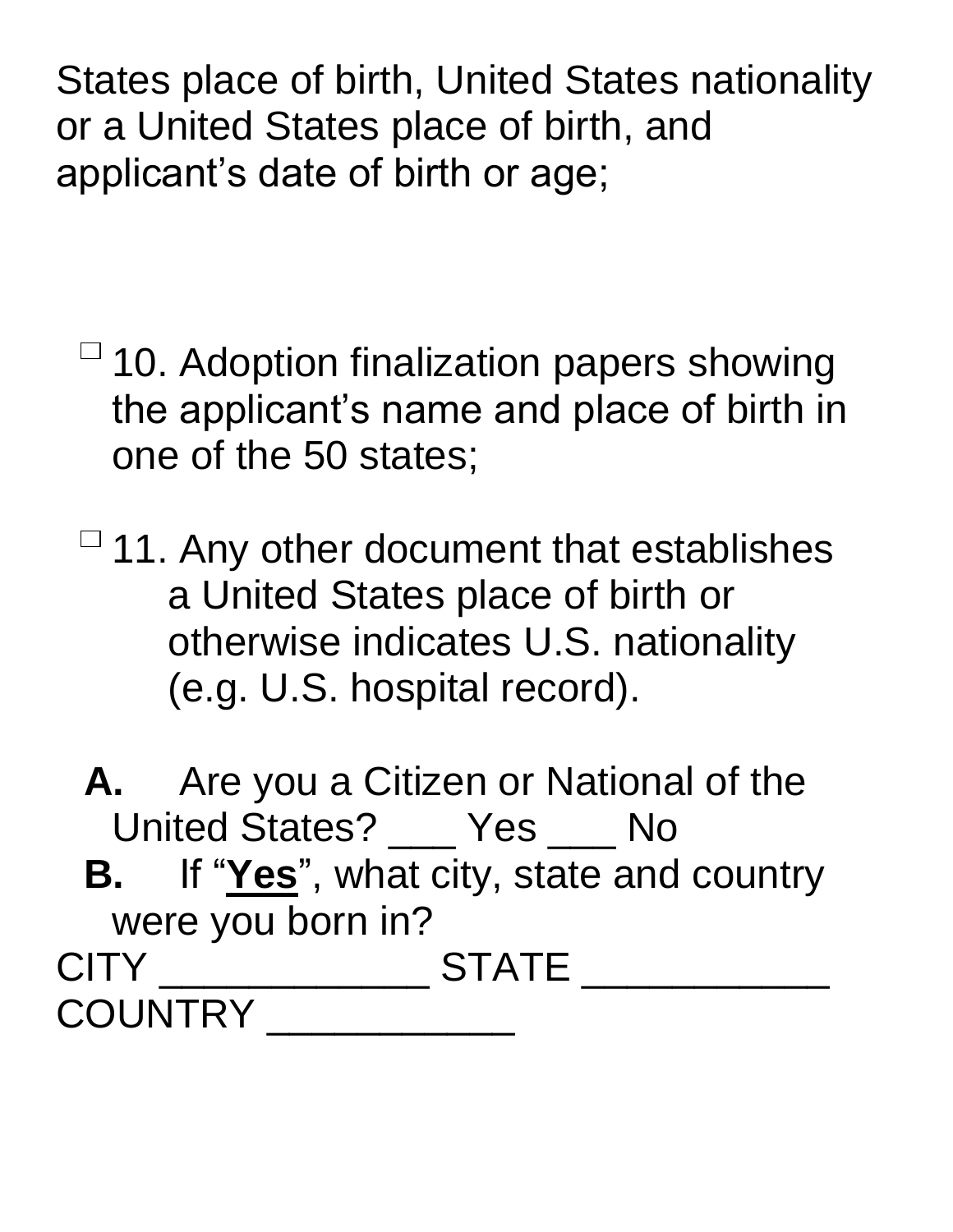States place of birth, United States nationality or a United States place of birth, and applicant's date of birth or age;

 $\overline{\phantom{a}}$  10. Adoption finalization papers showing the applicant's name and place of birth in one of the 50 states;

 $\overline{\phantom{a}}$  11. Any other document that establishes a United States place of birth or otherwise indicates U.S. nationality (e.g. U.S. hospital record).

**A.** Are you a Citizen or National of the United States? \_\_\_ Yes \_\_\_ No **B.** If "**Yes**" , what city, state and country were you born in? CITY \_\_\_\_\_\_\_\_\_\_\_\_\_\_\_\_\_\_ STATE \_\_\_\_\_\_\_\_\_\_\_\_\_\_\_ COUNTRY \_\_\_\_\_\_\_\_\_\_\_\_\_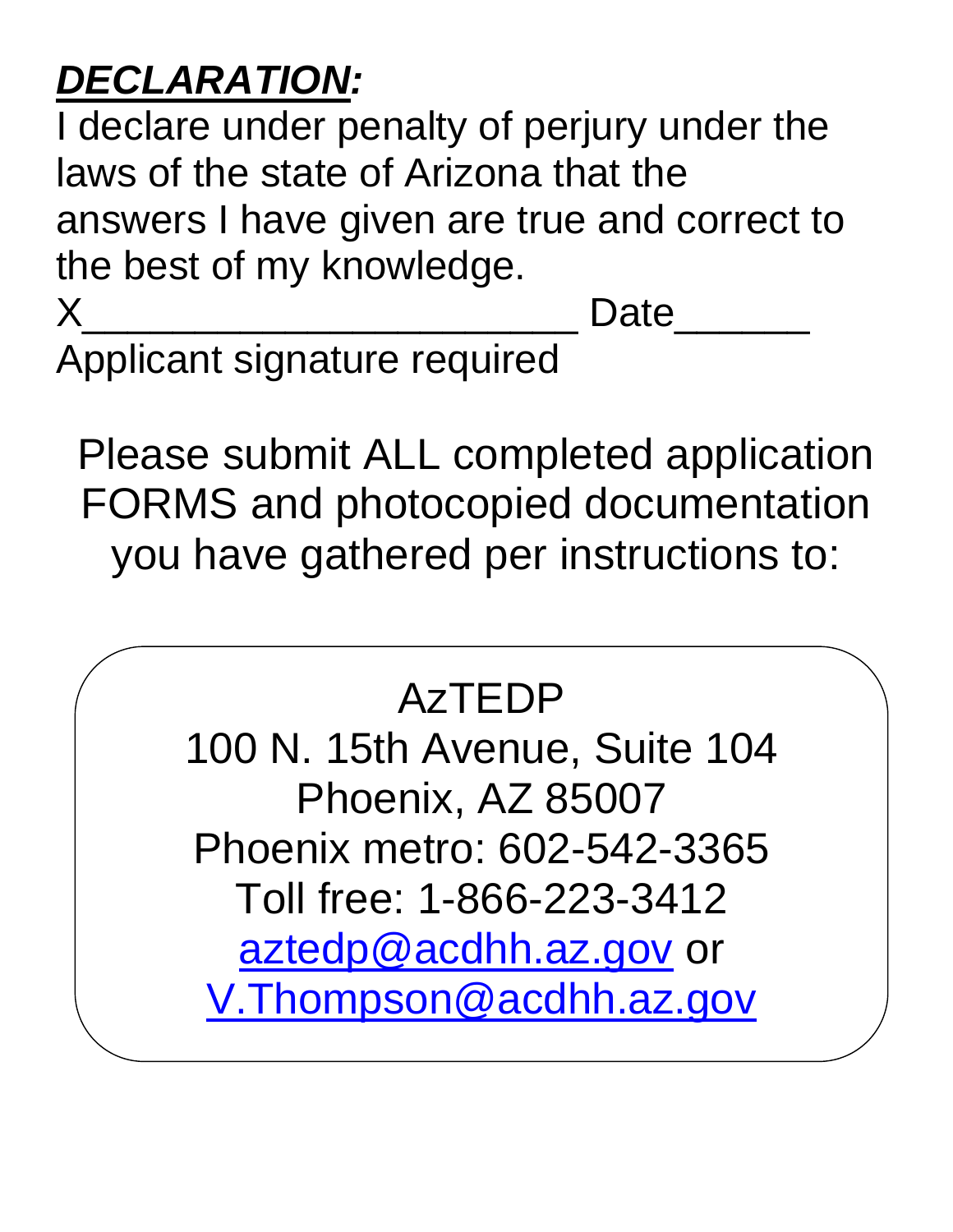# *DECLARATION:*

I declare under penalty of perjury under the laws of the state of Arizona that the answers I have given are true and correct to the best of my knowledge.

X\_\_\_\_\_\_\_\_\_\_\_\_\_\_\_\_\_\_\_\_\_\_ Date\_\_\_\_\_\_

Applicant signature required

Please submit ALL completed application FORMS and photocopied documentation you have gathered per instructions to:

# AzTEDP

 Phoenix metro: 602-542-3365 100 N. 15th Avenue, Suite 104 Phoenix, AZ 85007 Toll free: 1-866-223-3412 [aztedp@acdhh.az.gov](mailto:aztedp@acdhh.az.gov) or [V.Thompson@acdhh.az.gov](mailto:V.Thompson@acdhh.az.gov)